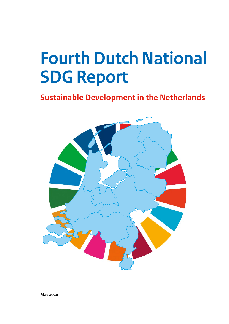# **Fourth Dutch National SDG Report**

# **Sustainable Development in the Netherlands**



**May 2020**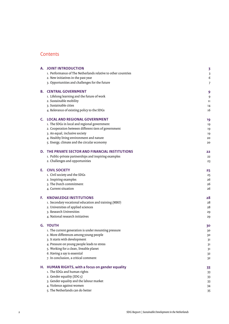### Contents

| А. | JOINT INTRODUCTION                                            | 3  |
|----|---------------------------------------------------------------|----|
|    | 1. Performance of The Netherlands relative to other countries | 3  |
|    | 2. New initiatives in the past year                           | 6  |
|    | 3. Opportunities and challenges for the future                | 7  |
| В. | <b>CENTRAL GOVERNMENT</b>                                     | 9  |
|    | 1. Lifelong learning and the future of work                   | 9  |
|    | 2. Sustainable mobility                                       | 11 |
|    | 3. Sustainable cities                                         | 14 |
|    | 4. Relevance of existing policy to the SDGs                   | 16 |
| C. | <b>LOCAL AND REGIONAL GOVERNMENT</b>                          | 19 |
|    | 1. The SDGs in local and regional government                  | 19 |
|    | 2. Cooperation between different tiers of government          | 19 |
|    | 3. An equal, inclusive society                                | 19 |
|    | 4. Healthy living environment and nature                      | 20 |
|    | 5. Energy, climate and the circular economy                   | 20 |
| D. | THE PRIVATE SECTOR AND FINANCIAL INSTITUTIONS                 | 22 |
|    | 1. Public-private partnerships and inspiring examples         | 22 |
|    | 2. Challenges and opportunities                               | 23 |
| Е. | <b>CIVIL SOCIETY</b>                                          | 25 |
|    | 1. Civil society and the SDGs                                 | 25 |
|    | 2. Inspiring examples                                         | 26 |
|    | 3. The Dutch commitment                                       | 26 |
|    | 4. Current situation                                          | 26 |
| F. | <b>KNOWLEDGE INSTITUTIONS</b>                                 | 28 |
|    | 1. Secondary vocational education and training (MBO)          | 28 |
|    | 2. Universities of applied sciences                           | 28 |
|    | 3. Research Universities                                      | 29 |
|    | 4. National research initiatives                              | 29 |
|    | <b>G. YOUTH</b>                                               | 30 |
|    | 1. The current generation is under mounting pressure          | 30 |
|    | 2. More differences among young people                        | 30 |
|    | 3. It starts with development                                 | 31 |
|    | 4. Pressure on young people leads to stress                   | 31 |
|    | 5. Working for a clean, liveable planet                       | 31 |
|    | 6. Having a say is essential                                  | 32 |
|    | 7. In conclusion, a critical comment                          | 32 |
|    | H. HUMAN RIGHTS, with a focus on gender equality              | 33 |
|    | 1. The SDGs and human rights                                  | 33 |
|    | 2. Gender equality (SDG 5)                                    | 33 |
|    | 3. Gender equality and the labour market                      | 33 |
|    | 4. Violence against women                                     | 34 |
|    | 5. The Netherlands can do better                              | 35 |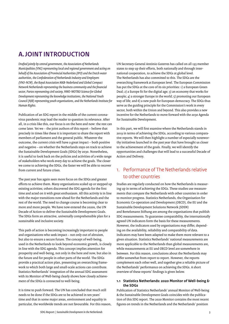# <span id="page-2-0"></span>**A.JOINT INTRODUCTION**

*Drafted jointly by central government, the Association of Netherlands Municipalities (VNG) representing local and regional government and acting on behalf of the Association of Provincial Authorities (IPO) and the Dutch water authorities, the Confederation of Netherlands Industry and Employers (VNO-NCW), the Royal Association MKB-Nederland and Global Compact Network Netherlands representing the business community and the financial sector, Partos representing civil society, NWO-WOTRO Science for Global Development representing the knowledge institutions, the National Youth Council (NJR) representing youth organisations, and the Netherlands Institute for Human Rights.*

Publication of an SDG report in the middle of the current coronavirus pandemic may lead the reader to question its relevance. After all, in a crisis like this, our focus is on the here and now: the rest can come later. Yet we – the joint authors of this report – believe that precisely in times like these it is important to share the report with members of parliament and the general public. Whatever the outcome, the current crisis will have a great impact – both positive and negative – on whether the Netherlands stays on track to achieve the Sustainable Development Goals (SDGs) by 2030. Nonetheless, it is useful to look back on the policies and activities of a wide range of stakeholders who work every day to achieve the goals. The closer we come to achieving the SDGs, the faster we will be able to recover from current and future crises.

The past year has again seen more focus on the SDGs and greater efforts to achieve them. Many organisations scaled up or stepped up existing activities; others discovered the SDG agenda for the first time and acted on it with great enthusiasm. All this activity is in line with the major transitions now ahead for the Netherlands and the rest of the world. The need to change course is becoming clear to more and more people. We have now entered the 2020s, the UN Decade of Action to deliver the Sustainable Development Goals. The SDGs form an attractive, universally comprehensible plan for a sustainable and inclusive society.

This path of action is becoming increasingly important to people and organisations who seek impact – not only out of altruism, but also to ensure a secure future. The concept of well-being, used in the Netherlands to look beyond economic growth, is closely in line with the SDG agenda. This concept implies attention for prosperity and well-being, not only in the here and now, but also in the future and for people in other parts of the world. The SDGs provide a practical action plan, presenting an overarching framework to which both large and small-scale actions can contribute. Statistics Netherlands' integration of the annual SDG assessment with its Monitor of Well-being clearly shows how closely achievement of the SDGs is connected to well-being.

It is time to push forward. The UN has concluded that much still needs to be done if the SDGs are to be achieved in ten years' time and that in some major areas, environment and equality in particular, the worldwide trends are not favourable. For this reason,

UN Secretary-General António Guterres has called on all 193 member states to step up their efforts, both nationally and through international cooperation, to achieve the SDGs at global level. The Netherlands has also committed to this. The SDGs are the overarching framework at European level. The European Commission has put the SDGs at the core of its six priorities: 1) a European Green Deal; 2) a Europe fit for the digital age; 3) an economy that works for people; 4) a stronger Europe in the world; 5) promoting our European way of life; and 6) a new push for European democracy. The SDGs thus serve as the guiding principle for the Commission's work in every sector, both within the Union and beyond. This also provides a new incentive for the Netherlands to move forward with the 2030 Agenda for Sustainable Development.

In this part, we will first examine where the Netherlands stands in 2019 in terms of achieving the SDGs, according to various comparative reports. We will then highlight a number of especially noteworthy initiatives launched in the past year that have brought us closer to the achievement of the goals. Finally, we will identify the opportunities and challenges that will lead to a successful Decade of Action and Delivery.

### 1. Performance of The Netherlands relative to other countries

Studies are regularly conducted on how the Netherlands is measuring up in terms of achieving the SDGs. These studies use measurements that compare the Netherlands with other countries in order to monitor progress. Statistics Netherlands, the Organisation for Economic Co-operation and Development (OECD), the EU and the Sustainable Development Solutions Network (SDSN) and Bertelsmann Stiftung are among the organisations that publish SDG measurements. To guarantee comparability, the internationally agreed UN indicators form the basis for these measurements. However, the indicators used by organisations may differ, depending on the availability, reliability and comparability of data. Indicators may have been adapted to make them more relevant to a given situation. Statistics Netherlands' national measurements are more applicable to the Netherlands than global measurements are, while measurements at EU and OECD level are somewhere in between. For this reason, conclusions about the Netherlands may differ somewhat from report to report. However, the reports complement each other well, and together give a reliable picture of the Netherlands' performance on achieving the SDGs. A short overview of these reports' findings is given below.

#### **1.1 Statistics Netherlands: 2020 Monitor of Well-being & the SDGs**

Publication of Statistics Netherlands' annual Monitor of Well-being & the Sustainable Development Goals coincides with the publication of this SDG report. The 2020 Monitor contains the most recent figures on trends in the Netherlands and the Netherlands' position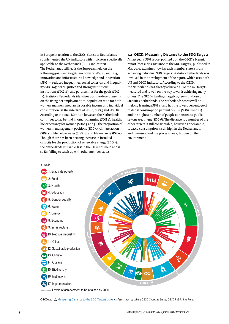in Europe in relation to the SDGs. Statistics Netherlands supplemented the UN indicators with indicators specifically applicable to the Netherlands (SDG+ indicators). The Netherlands still leads the European field on the following goals and targets: no poverty (SDG 1); industry, innovation and infrastructure: knowledge and innovation (SDG 9); reduced inequalities: social cohesion and inequality (SDG 10); peace, justice and strong institutions: institutions (SDG 16); and partnerships for the goals (SDG 17). Statistics Netherlands identifies positive developments on the rising net employment-to-population ratio for both women and men, median disposable income and individual consumption (at the interface of SDG 1, SDG 5 and SDG 8). According to the 2020 Monitor, however, the Netherlands continues to lag behind in organic farming (SDG 2), healthy life expectancy for women (SDGs 3 and 5), the proportion of women in management positions (SDG 5), climate action (SDG 13), life below water (SDG 14) and life on land (SDG 15). Though there has been a strong increase in installed capacity for the production of renewable energy (SDG 7), the Netherlands still ranks last in the EU in this field and is so far failing to catch up with other member states.

**1.2 OECD: Measuring Distance to the SDG Targets**

As last year's SDG report pointed out, the OECD's biennial report 'Measuring Distance to the SDG Targets', published in May 2019, examines how far each member state is from achieving individual SDG targets. Statistics Netherlands was involved in the development of the report, which uses both UN and OECD indicators. According to the OECD, the Netherlands has already achieved 26 of the 104 targets measured and is well on the way towards achieving many others. The OECD's findings largely agree with those of Statistics Netherlands. The Netherlands scores well on lifelong learning (SDG 4) and has the lowest percentage of material consumption per unit of GDP (SDGs 8 and 12) and the highest number of people connected to public sewage treatment (SDG 6). The distance to a number of the other targets is still considerable, however. For example, tobacco consumption is still high in the Netherlands, and intensive land use places a heavy burden on the environment.



**OECD (2019),** [Measuring Distance to the SDG Targets 2019](https://doi.org/10.1787/a8caf3fa-en)*: An Assessment of Where OECD Countries Stand, OECD Publishing, Paris.*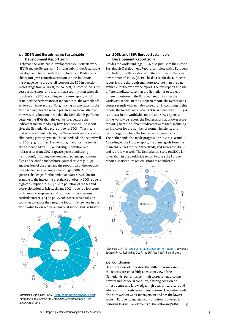#### **1.3 SDSN and Bertelsmann: Sustainable Development Report 2019**

Each year, the Sustainable Development Solutions Network (SDSN) and the Bertelsmann Stiftung publish the Sustainable Development Report, with the SDG Index and Dashboards. This report gives countries scores on various indicators, the average being the overall score for the SDG in question. Scores range from 0 (worst) to 100 (best). A score of 100 is the best possible score, and means that a country is on schedule to achieve the SDG. According to the 2019 report, which examined the performance of 162 countries, the Netherlands achieved an index score of 80.4, moving up two places in the world rankings for the second year in a row, from 11th to 9th. However, this does not mean that the Netherlands performed better on the SDGs than the year before, because the indicators and methodology have been revised. The report gives the Netherlands a score of 100 for SDG 1. That means that with its current policies, the Netherlands will succeed in eliminating poverty by 2030. The Netherlands also scored well on SDGs 3, 4, 10 and 11. Furthermore, many positive trends can be identified on SDG 9 (industry, innovation and infrastructure) and SDG 16 (peace, justice and strong institutions), including the number of patent applications filed and scientific and technical journal articles (SDG 9), and freedom of the press and the proportion of the population who feel safe walking alone at night (SDG 16). The greatest challenges for the Netherlands are SDG 2, due for example to the increasing prevalence of obesity, SDG 12 due to high consumption, SDG 14 due to pollution of the sea and overexploitation of fish stocks and SDG 17 due to a low score on financial transparency and tax havens; this concerns in particular target 17.14 on policy coherence, which calls on countries to reduce their negative footprint elsewhere in the world – due to low scores on financial secrecy and tax havens.



*Bertelsmann Stiftung and SDSN, '*[Sustainable Development Report](https://s3.amazonaws.com/sustainabledevelopment.report/2019/2019_sustainable_development_report.pdf)*: Transformations to Achieve the Sustainable Development Goals', Pica Publishing Ltd, 2019.*

#### **1.4 SDSN and IEEP: Europe Sustainable Development Report 2019**

Besides the world rankings, SDSN also publishes the Europe Sustainable Development Report, complete with a European SDG Index, in collaboration with the Institute for European Environmental Policy (IEEP). The data set for the European report is more thorough and more accurate than the data available for the worldwide report. The two reports also use different indicators, so that the Netherlands occupies a different position in the European report than in the worldwide report. In the European report, the Netherlands comes seventh with an index score of 71.8. According to this report, the Netherlands is on track to achieve both SDG 1 (as is the case in the worldwide report) and SDG 9 by 2030. In the worldwide report, the Netherlands had a lower score for SDG 9 because different indicators were used, including an indicator for the number of women in science and technology, on which the Netherlands scores badly. The Netherlands also made progress on SDGs 4, 6, 8 and 10. According to the Europe report, the planet goals form the main challenges for the Netherlands, and scores for SDGs 2 and 17 are low as well. The Netherlands' score on SDG 2 is lower than in the worldwide report because the Europe report also uses nitrogen emissions as an indicator.



*IEEP and SDSN, '*[Europe Sustainable Development Report:](https://s3.amazonaws.com/sustainabledevelopment.report/2019/2019_europe_sustainable_development_report.pdf) *Towards a Strategy for Achieving the SDGs in the EU', Pica Publishing Ltd, 2019.*

#### **1.5 Conclusion**

Despite the use of indicators that differ to some extent, the reports present a fairly consistent view of the Netherlands' performance – high scores for eradicating poverty and for social cohesion, a strong position on infrastructure and knowledge, high quality healthcare and education, and confidence in institutions. The Netherlands also does well on water management and has the lowest score in Europe for material consumption. However, it performs less well on elements of the following SDGs: SDG 5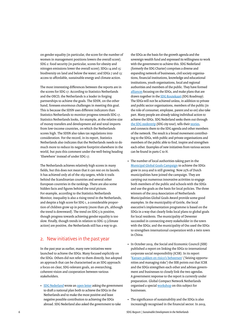<span id="page-5-0"></span>on gender equality (in particular, the score for the number of women in management positions lowers the overall score); SDG 2: food security (in particular, scores for obesity and nitrogen emissions lower the overall score); SDGs 14 and 15: biodiversity on land and below the water; and SDGs 7 and 13: access to affordable, sustainable energy and climate action.

The most interesting differences between the reports are in the scores for SDG 17. According to Statistics Netherlands and the OECD, the Netherlands is a leader in forging partnerships to achieve the goals. The SDSN, on the other hand, foresees enormous challenges in meeting this goal. This is because the SDSN uses different indicators than Statistics Netherlands to monitor progress towards SDG 17. Statistics Netherlands looks, for example, at the relative size of money transfers and development aid and total imports from low-income countries, on which the Netherlands scores high. The SDSN also takes tax regulations into consideration. For the record, in its report, Statistics Netherlands also indicates that the Netherlands needs to do much more to reduce its negative footprint elsewhere in the world, but puts this comment under the well-being heading 'Elsewhere' instead of under SDG 17.

The Netherlands achieves relatively high scores in many fields, but this does not mean that it can rest on its laurels. It has achieved only 26 of the 169 targets, while it trails behind the Scandinavian countries and several other European countries in the rankings. There are also some hidden facts and figures behind the total picture. For example, according to the Statistics Netherlands Monitor, inequality is also a rising trend in the Netherlands, and despite a high score for SDG 1, a considerable proportion of children grow up in poverty (more than 9%, although the trend is downward). The trend on SDG 5 is positive, though progress towards achieving gender equality is too slow. Finally, though trends in relation to SDG 13 (climate action) are positive, the Netherlands still has a way to go.

### 2. New initiatives in the past year

In the past year as earlier, many new initiatives were launched to achieve the SDGs. Many focused explicitly on the SDGs. Others did not refer to them directly, but adopted an approach that can be characterised as an SDG approach: a focus on clear, SDG-relevant goals, an overarching, coherent vision and cooperation between various stakeholders.

• [SDG Nederland](https://www.sdgnederland.nl) wrote an [open letter](https://www.sdgnederland.nl/nieuws/sdg-nederland-en-zes-koepels-vragen-regering-sdgs-als-basis-te-nemen-voor-groeiagenda/) asking the government to draft a national plan both to achieve the SDGs in the Netherlands and to make the most positive and least negative possible contribution to achieving the SDGs abroad. SDG Nederland also asked the government to take

the SDGs as the basis for the growth agenda and the sovereign wealth fund and expressed its willingness to work with the government to achieve this. SDG Nederland (formerly the SDG Charter) comprises a diverse and expanding network of businesses, civil society organisations, financial institutions, knowledge and educational institutions, youth organisations, local and regional authorities and members of the public. They have formed [alliances](https://www.sdgnederland.nl/sdg-allianties/) focusing on the SDGs, and make plans that are drawn together in the [SDG Routekaart](https://www.sdgnederland.nl/nieuws/sdg-routekaart-overhandigd-aan-minister-kaag/) (SDG Roadmap). The SDGs will not be achieved unless, in addition to private and public sector organisations, members of the public (in the role of consumer, employee, parent and so on) also take part. Many people are already taking individual action to achieve the SDGs. SDG Nederland seeks them out through [the SDG stedentrip](https://www.sdgnederland.nl/stedentrip/) (SDG city tour), tells their [stories](https://www.oneworld.nl/collecties/goalgetters/), and connects them to the SDG agenda and other members of the network. The result is a broad movement contributing to the SDGs, with public and private organisations and members of the public able to find, inspire and strengthen each other. Examples of new initiatives from various sectors can be found in parts C to H.

- The number of local authorities taking part in the [Municipal Global Goals Campaign](https://vng.nl/artikelen/wat-betekent-het-global-goals-gemeente-te-zijn) to achieve the SDGs grew in 2019 and is still growing. Now 25% of Dutch municipalities have joined the campaign. They are carrying out numerous innovative activities to engage both members of the public and schools with the SDGs and use the goals as the basis for local policies. The three winners of the 2019 Association of Netherlands Municipalities Global Goals Award provide some good examples. In the municipality of Goirle, the local executive's implementation programme is based on the SDGs in a way that clearly links local plans to global goals for local residents. The municipality of Deventer succeeded in connecting every stakeholder in the town with the SDGs; and the municipality of Oss used the SDGs to strengthen international cooperation with a twin town in China.
- In October 2019, the Social and Economic Council (SER) published a report on linking the SDGs to international corporate social responsibility (ICSR). In its report ['Kansen pakken en risico's beheersen'](https://www.ser.nl/nl/adviezen/sdg-imvo) ('Seizing opportunities and managing risks') the SER points out that ICSR and the SDGs strengthen each other and advises government and businesses to closely link the two agendas. A government response to the report is currently under preparation. Global Compact Network Netherlands organised a special [workshop](https://gcnetherlands.nl/events/workshop-integrale-aanpak-sdgs-en-imvo/?occurrence=2020-02-11) on this subject for businesses.
- The significance of sustainability and the SDGs is also increasingly recognised in the financial sector. In 2019,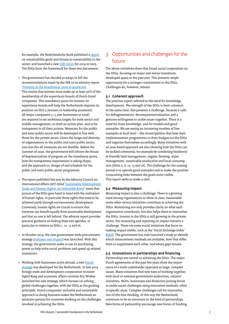<span id="page-6-0"></span>for example, the Nederlandsche Bank published a [report](https://www.dnb.nl/binaries/Rapport%20) on sustainability goals and threats to sustainability in the sector, and launched a new [CSR vision](https://www.dnb.nl/binaries/DNB%20MVO-Visie%202019-2025_tcm46-382852.pdf) for 2019 to 2025. The SDGs form the framework for these two documents.

- The government has decided to adopt in full the recommendations made by the SER in its advisory report '[Diversity in the boardroom: time to accelerate'](https://www.ser.nl/en/Publications/diversity-boardroom). This means that women must make up at least 30% of the membership of the supervisory boards of Dutch listed companies. This mandatory quota for women on supervisory boards will help the Netherlands improve its position on SDG 5 (women in leadership positions). All major companies  $(\pm 5,000)$  businesses in total) are required to set ambitious targets for both senior and middle management, to draft an action plan, and to be transparent in all their actions. Measures for the public and semi-public sector will be developed in line with those for the private sector. Given the range and diversity of organisations in the public and semi-public sector, one-size-fits-all measures are not feasible. Before the summer of 2020, the government will inform the House of Representatives of progress on the mandatory quota, how the transparency requirement is taking shape, and the approach to, design of and schedule for the public and semi-public sector programme.
- The report published last year by the Advisory Council on International Affairs (AIV) titled ['Sustainable Development](https://www.advisorycouncilinternationalaffairs.nl/documents/publications/2019/05/10/sustainable-development-goals-and-human-rights)  [Goals and Human Rights: an Indivisible Bond'](https://www.advisorycouncilinternationalaffairs.nl/documents/publications/2019/05/10/sustainable-development-goals-and-human-rights) states that pursuit of the SDGs goes hand in hand with the realisation of human rights, in particular those rights that need to be achieved partly through socioeconomic development. Conversely, human rights are crucial to ensure that everyone can benefit equally from sustainable development and that no one is left behind. The advisory report provides practical guidance on linking these two agendas, in particular in relation to SDGs 1, 10, 13 and 16.
- In October 2019, the new government-wide procurement strategy [\(Inkopen met Impact](https://www.rijksoverheid.nl/documenten/rapporten/2019/10/28/inkopen-met-impact)) was launched. With this strategy, the government seeks to use its purchasing power to help solve social problems and speed up related transitions.
- Working with businesses active abroad, a new brand [strategy](https://www.nlplatform.com) was developed for the Netherlands. In late 2019 foreign trade and development cooperation minister Sigrid Kaag and economic affairs minister Eric Wiebes launched the new strategy, which focuses on solving global challenges together, with the SDGs as the guiding principles. Dutch companies' inclusive and sustainable approach to doing business makes the Netherlands an attractive partner for countries working on the challenges involved in achieving the SDGs.

### 3. Opportunities and challenges for the future

The above initiatives show that broad social cooperation on the SDGs, focusing on major and minor transitions, developed apace in the past year. This presents ample opportunity for a stronger commitment to the SDGs. Challenges do, however, remain.

#### **3.1 Coherent approach**

The previous report referred to the need for knowledge development. The strength of the SDGs is their cohesion. At the same time, this presents a challenge, because it calls for defragmentation, decompartmentalisation and a genuine willingness to tackle issues together. There is a need for more knowledge, and for models and good examples. We are seeing an increasing number of fine examples at local level – like municipalities that base their implementation programmes or their budgets on the SDGs and organise themselves accordingly. Many initiatives with an area-based approach are also showing how the SDGs can be tackled coherently, for example by combining biodiversity-friendly land management, organic farming, water management, sustainable production and local consumption (SDGs 2, 6, 12, 15 and 16). The challenge for the coming period is to upscale good examples and to make the positive crosscutting links between the goals more visible. This report seeks to make a start.

#### **3.2 Measuring impact**

Measuring impact is also a challenge. There is a growing need among organisations to show in clear, measurable terms what various initiatives contribute to achieving the SDGs. Monitoring not only provides clarity on what each organisation contributes, but also helps them to internalise the SDGs. Interest in the SDGs is still growing in the private sector, but measuring and reporting on impact remains a challenge. There are some social initiatives that focus on making impact visible, such as the 'Social Exchange Index' [MAEX.](https://maex.nl/#/home) The government has now launched a study to identify which measurement methods are available, how they differ from or supplement each other, and where gaps remain.

#### **3.3 Innovations in partnerships and financing**

Partnerships are central to achieving the SDGs. The major Dutch agreements of the past few years show the importance of a multi-stakeholder approach to large, complex issues. Many initiatives find new ways of working together, with local or national government authorities, citizens' initiatives, NGOs, businesses and financiers joining forces to tackle social challenges using innovative methods, often in specific areas. Complex challenges call for innovative, out-of-the-box thinking. In this way the Netherlands continues to be an innovator in the field of partnerships. New forms of partnership encourage new forms of funding,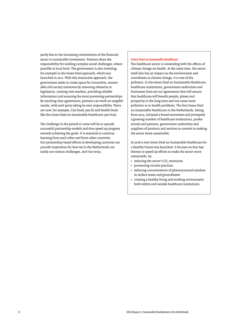partly due to the increasing commitment of the financial sector to sustainable investment. Partners share the responsibility for tackling complex social challenges, where possible at local level. The government is also investing, for example in the Green Deal approach, which was launched in 2011. With this interactive approach, the government seeks to create space for innovative, sustainable civil society initiatives by removing obstacles in legislation, creating new markets, providing reliable information and ensuring the most promising partnerships. By reaching clear agreements, partners can work on tangible results, with each party taking its own responsibility. There are now, for example, City Deals (see B) and Health Deals like the Green Deal on Sustainable Healthcare (see box).

The challenge in the period to come will be to upscale successful partnership models and thus speed up progress towards achieving the goals. It is essential to continue learning from each other and from other countries. Our partnership-based efforts in developing countries can provide inspiration for how we in the Netherlands can tackle our various challenges, and vice versa.

#### *Green Deal on Sustainable Healthcare*

The healthcare sector is contending with the effects of climate change on health. At the same time, the sector itself also has an impact on the environment and contributes to climate change. It is one of the polluters. In the Green Deal on Sustainable Healthcare, healthcare institutions, government authorities and businesses have set out agreements that will ensure that healthcare will benefit people, planet and prosperity in the long term and not cause more pollution or to health problems. The first Green Deal on Sustainable Healthcare in the Netherlands, dating from 2015, initiated a broad movement and prompted a growing number of healthcare institutions, professionals and patients, government authorities and suppliers of products and services to commit to making the sector more sustainable.

In 2018 a new Green Deal on Sustainable Healthcare for a Healthy Future was launched. It focuses on four key themes to speed up efforts to make the sector more sustainable, by:

- reducing the sector's  $CO<sub>2</sub>$  emissions
- promoting circular practices
- reducing concentrations of pharmaceutical residues in surface water and groundwater
- creating a healthy living and working environment both within and outside healthcare institutions.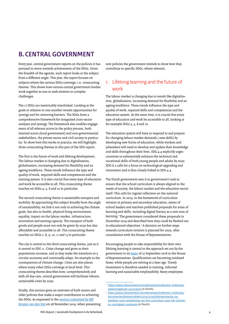# <span id="page-8-0"></span>**B. CENTRAL GOVERNMENT**

Every year, central government reports on the policies it has pursued to move towards achievement of the SDGs. Given the breadth of the agenda, each report looks at the subject from a different angle. This year, the report focuses on subjects where the various SDGs converge, i.e. crosscutting themes. This shows how various central government bodies work together as one to seek answers to complex challenges.

The 17 SDGs are inextricably interlinked. Looking at the goals in relation to one another reveals opportunities for synergy and for removing barriers. The SDGs form a comprehensive framework for integrated cross-sector analyses and synergy. The framework also enables engagement of all relevant actors in the policy process, both internal actors (local government) and non-governmental stakeholders, the private sector and civil society in particular. To show how this works in practice, we will highlight three crosscutting themes in this part of the SDG report.

The first is the future of work and lifelong development. The labour market is changing due to digitalisation, globalisation, increasing demand for flexibility and an ageing workforce. These trends influence the type and quality of work, required skills and competences and the training system. It is also crucial that every type of education and work be accessible to all. This crosscutting theme touches on SDGs 4, 5, 8 and 10 in particular.

The second crosscutting theme is sustainable transport and mobility. By approaching this subject broadly from the angle of sustainability, we link it not only to achieving the climate goals, but also to health, physical living environment, equality, impact on the labour market, infrastructure, innovation and earning capacity. The transport of both goods and people must not only be green by 2030 but also affordable and accessible to all. This crosscutting theme touches on SDGs 7, 8, 9, 10, 11 and 13 in particular.

The city is central to the third crosscutting theme, just as it is central to SDG 11. Cities change and grow as their populations increase, and as they make the transition to a circular economy and continually adapt, for example to the consequences of climate change. Cities are also places where many other SDGs converge at local level. This crosscutting theme describes how, comprehensively and with all due care, central government will facilitate vibrant, sustainable cities by 2030.

Finally, this section gives an overview of both recent and older policies that make a major contribution to achieving the SDGs. As requested in the motion submitted by MP [Kirsten van den Hul](https://www.tweedekamer.nl/kamerstukken/moties/detail?id=2019Z23540&did=2019D48737) on 28 November 2019, when presenting new policies the government intends to show how they contribute to specific SDGs, where relevant.

### 1. Lifelong learning and the future of work

The labour market is changing due to trends like digitalisation, globalisation, increasing demand for flexibility and an ageing workforce. These trends influence the type and quality of work, required skills and competences and the education system. At the same time, it is crucial that every type of education and work be accessible to all, looking at for example SDGs 4, 5, 8 and 10.

The education system will have to respond to and prepare for changing labour market demands ( new skills) by developing new forms of education, while workers and jobseekers will need to develop and update their knowledge and skills throughout their lives. SDG 4.4 explicitly urges countries to substantially enhance the technical and vocational skills of both young people and adults by 2030. SDG 8.2 calls for a focus on technological upgrading and innovation and is thus closely linked to SDG 4.4.

The Dutch government sees it as government's task to ensure that the school curriculum is always aligned to the needs of society, the labour market and the education sector itself. This calls for regular reflection on the national curriculum. In 2019, in the framework of curriculum revision in primary and secondary education, teams of school leaders and teachers published proposals for areas of learning and skills, including digital literacy as a new area of learning.<sup>1</sup> The government considered these proposals in December 2019 and described how they could be fleshed out in educational objectives.<sup>2</sup> A decision on further steps towards curriculum revision is planned for 2020, after consultation with the House of Representatives.

Encouraging people to take responsibility for their own lifelong learning is central to the approach set out by the government in its [letter](https://www.rijksoverheid.nl/documenten/kamerstukken/2018/09/27/kamerbrief-leven-lang-ontwikkelen) of 27 September 2018 to the House of Representatives. Qualifications are becoming outdated faster, while people are retiring at a later age. Timely investment is therefore needed in training, informal learning and sustainable employability. Many employees

<sup>1</sup> [https://www.rijksoverheid.nl/onderwerpen/toekomst-onderwijs/](https://www.rijksoverheid.nl/onderwerpen/toekomst-onderwijs/toekomstgericht-curriculum) [toekomstgericht-curriculum](https://www.rijksoverheid.nl/onderwerpen/toekomst-onderwijs/toekomstgericht-curriculum) (in Dutch).

[https://www.rijksoverheid.nl/onderwerpen/toekomst-onderwijs/](https://www.rijksoverheid.nl/onderwerpen/toekomst-onderwijs/documenten/kamerstukken/2019/12/09/kabinetsreactie-op-adviezen-voor-verbetering-van-het-curriculum-voor-het-primair-en-voortgezet-onderwijs) [documenten/kamerstukken/2019/12/09/kabinetsreactie-op](https://www.rijksoverheid.nl/onderwerpen/toekomst-onderwijs/documenten/kamerstukken/2019/12/09/kabinetsreactie-op-adviezen-voor-verbetering-van-het-curriculum-voor-het-primair-en-voortgezet-onderwijs)[adviezen-voor-verbetering-van-het-curriculum-voor-het-primair](https://www.rijksoverheid.nl/onderwerpen/toekomst-onderwijs/documenten/kamerstukken/2019/12/09/kabinetsreactie-op-adviezen-voor-verbetering-van-het-curriculum-voor-het-primair-en-voortgezet-onderwijs)[en-voortgezet-onderwijs](https://www.rijksoverheid.nl/onderwerpen/toekomst-onderwijs/documenten/kamerstukken/2019/12/09/kabinetsreactie-op-adviezen-voor-verbetering-van-het-curriculum-voor-het-primair-en-voortgezet-onderwijs) (in Dutch).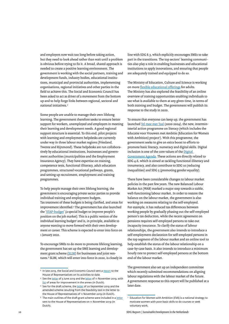and employers now wait too long before taking action, but they need to look ahead rather than wait until a problem is obvious before trying to fix it. A broad, shared approach is needed to create a positive learning environment. The government is working with the social partners, training and development funds, industry bodies, educational institutions, municipal and provincial authorities, implementing organisations, regional initiatives and other parties in the field to achieve this. The Social and Economic Council has been asked to act as driver of a movement from the bottom up and to help forge links between regional, sectoral and national initiatives.3

Some people are unable to manage their own lifelong learning. The government therefore seeks to ensure better support for workers, unemployed and employers in meeting their learning and development needs. A good regional support structure is essential. To this end, pilot projects with learning and employment helpdesks are currently under way in three labour market regions (Friesland, Twente and Rijnmond). These helpdesks are run collaboratively by educational institutions, businesses and government authorities (municipalities and the Employment Insurance Agency). They have expertise on training, competence tests, functional illiteracy, adult education programmes, structured vocational pathways, grants, and setting up recruitment, employment and training programmes.

To help people manage their own lifelong learning, the government is encouraging private sector parties to provide individual training and employment budgets. Tax treatment of these budgets is being clarified, and areas for improvement identified.4 The government has also launched the ['STAP-budget'](https://www.stap-budget.nl) (a special budget to improve people's position on the job market). This is a public version of the individual learning budget<sup>5</sup> and is, in principle, available to anyone wanting to move forward with their own development or career. This scheme is expected to enter into force on 1 January 2022.

To encourage SMEs to do more to promote lifelong learning, the government has set up the SME learning and develop-ment grant scheme ([SLIM\)](https://www.uitvoeringvanbeleidszw.nl/subsidies-en-regelingen/slim) for businesses and joint ventures.<sup>6</sup> SLIM, which will enter into force in 2020, is closely in

line with SDG 8.3, which explicitly encourages SMEs to take part in the transitions. The top sectors' learning communities also play a role in enabling businesses and educational institutions to apply innovations, and ensuring that people are adequately trained and equipped to do so.

The Ministry of Education, Culture and Science is working on mor[e flexible educational offerings](https://www.dus-i.nl/subsidies/flexibel-beroepsonderwijs-derde-leerweg) for adults. The Ministry has also explored the feasibility of an online overview of training opportunities enabling individuals to see what is available to them at any given time, in terms of both training and budget. The government will publish its response to the study in 2020.

To ensure that everyone can keep up, the government has launched [Tel mee met Taal](https://www.telmeemettaal.nl) (2020-2024), the new, interministerial action programme on literacy (which includes the Educatie voor Vrouwen met Ambitie (Education for Women with Ambition) project<sup>7</sup>). With this programme, the government seeks to give an extra boost to efforts to promote basic literacy, numeracy and digital skills. Digital inclusion is one of the core values of the Digital [Government Agenda](https://www.nldigitalgovernment.nl/digital-government-agenda/). These actions are directly related to SDG 4.6, which is aimed at tackling functional illiteracy and innumeracy, and also contribute to SDG 10 (reducing inequalities) and SDG 5 (promoting gender equality).

There have been considerable changes to labour market policies in the past few years. The new Balanced Labour Market Act (WAB) marked a major step towards a stable, well-functioning labour market. In order to restore the balance on the labour market, the government is also working on measures relating to the self-employed. For example, it has reduced tax differences between working people by gradually phasing out the self-employed person's tax deduction, while the recent agreement on pensions requires self-employed persons to take out incapacity insurance. To clarify the status of labour relationships, the government also intends to introduce a self-employment declaration for self-employed persons in the top segment of the labour market and an online tool to help establish the status of the labour relationship on a case-by-case basis. It also intends to introduce a minimum hourly rate to protect self-employed persons at the bottom end of the labour market.

The government also set up an independent committee which recently submitted recommendations on aligning labour regulations with the labour market of the future. A government response to this report will be published at a later date.

<sup>&</sup>lt;sup>3</sup> In late 2019, the Social and Economic Council sent a [report](https://www.ser.nl/-/media/ser/downloads/thema/scholing-ontwikkeling/voortgangsrapp_levenlangontwikkelen.pdf?la=nl&hash=545E69355E03BDF1345202E95D5BA539) to the House of Representatives on its activities to date.

<sup>4</sup> See the [letter](https://www.rijksoverheid.nl/documenten/kamerstukken/2019/11/11/tk-av-161632-stimuleren-leren-en-ontwikkelen-bij-individuen-en-bedrijven) of 3 June 2019 and the letter of 11 November 2019, with list of areas for improvement in the annex (in Dutch).

<sup>&</sup>lt;sup>5</sup> See for the draft scheme, the [letter](https://www.rijksoverheid.nl/documenten/kamerstukken/2019/09/20/kamerbrief-conceptregeling-stap-budget) of 20 September 2019 and the amended scheme resulting from the feasibility test in the letter to the House of Representatives of 11 November 2019 (in Dutch).

 $6$  The main outlines of the draft grant scheme were included in a [le](https://www.rijksoverheid.nl/documenten/kamerstukken/2019/11/11/tk-av-161632-stimuleren-leren-en-ontwikkelen-bij-individuen-en-bedrijven)tter sent to the House of Representatives on 11 November 2019 (in Dutch).

<sup>7</sup> Education for Women with Ambition (EVA) is a national strategy to motivate women with poor basic skills to do courses or seek voluntary work.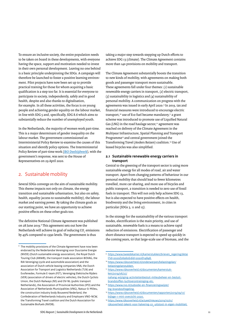<span id="page-10-0"></span>To ensure an inclusive society, the entire population needs to be taken on board in these developments, with everyone having the space, support and motivation needed to invest in their own personal development. Leaving no one behind is a basic principle underpinning the SDGs. A campaign will therefore be launched to foster a positive learning environment. Pilot projects have now been set up to provide practical training for those for whom acquiring a basic qualification is a step too far. It is essential for everyone to participate in society, independently, safely and in good health, despite and also thanks to digitalisation, for example. In all these activities, the focus is on young people and achieving gender equality on the labour market, in line with SDG 5 and, specifically, SDG 8.6 which aims to substantially reduce the number of unemployed youth.

In the Netherlands, the majority of women work part-time. This is a major determinant of gender inequality on the labour market. The government commissioned an Interministerial Policy Review to examine the causes of this situation and identify policy options. The Interministerial Policy Review of part-time work ([IBO Deeltijdwerk\)](https://www.rijksoverheid.nl/documenten/rapporten/2020/04/29/ibo-deeltijdwerk), with the government's response, was sent to the House of Representatives on 29 April 2020.

### 2. Sustainable mobility

Several SDGs converge on the aim of sustainable mobility. This theme impacts not only on climate, the energy transition and sustainable urbanisation, but also on safety, health, equality (access to sustainable mobility), the labour market and earning power. By taking the climate goals as our starting point, we have an opportunity to achieve positive effects on these other goals too.

The definitive National Climate Agreement was published on 28 June 2019.<sup>8</sup> This agreement sets out how the Netherlands will achieve its goal of reducing CO $_{_2}$  emissions by 49% compared to 1990 levels. The government is thus

taking a major step towards stepping up Dutch efforts to achieve SDG 13 (climate). The Climate Agreement contains more than 140 provisions on mobility and transport.

The Climate Agreement substantially boosts the transition to new kinds of mobility, with agreements on making both goods and passenger transport more sustainable. These agreements fall under four themes: (1) sustainable renewable energy carriers in transport, (2) electric transport, (3) sustainability in logistics and (4) sustainability of personal mobility. A communication on progress with the agreements was issued in early April 2020.<sup>9</sup> In 2019, tax and financial measures were introduced to encourage electric transport,<sup>10</sup> use of E10 fuel became mandatory,<sup>11</sup> a grant scheme was introduced to promote use of Liquified Natural Gas (LNG) in the road haulage sector,<sup>12</sup> agreement was reached on delivery of the Climate Agreement in the Multiyear Infrastructure, Spatial Planning and Transport Programme<sup>13</sup> and central government joined the Transforming Travel (Anders Reizen) coalition.14 Use of leased bicycles was also simplified.

#### **2.1 Sustainable renewable energy carriers in transport**

Central to the greening of the transport sector is using more sustainable energy for all modes of road, air and water transport. Apart from changing patterns of behaviour in our personal mobility that should lead to fewer kilometres travelled, more car-sharing, and more use of bicycles and public transport, a transition is needed to zero use of fossil fuels in transport. This will not only help achieve SDG 13, but is also expected to have positive effects on health, biodiversity and the living environment, in cities in particular (SDGs 3, 11 and 15).

In the strategy for the sustainability of the various transport modes, electrification is the main priority, and use of sustainable, renewable fuels is a means to achieve rapid reduction of emissions. Electrification of passenger and short-distance transport is expected to speed up quickly in the coming years, so that large-scale use of biomass, and the

- <sup>10</sup> [https://www.rijksoverheid.nl/onderwerpen/belastingplan/](https://www.rijksoverheid.nl/onderwerpen/belastingplan/belastingplanstukken) [belastingplanstukken](https://www.rijksoverheid.nl/onderwerpen/belastingplan/belastingplanstukken).
- <sup>11</sup> [https://www.rijksoverheid.nl/documenten/kamerstuk](https://www.rijksoverheid.nl/documenten/kamerstukken/2019/06/27/nahang-wijziging-activiteitenbesluit-milieubeheer-en-besluit-brandstoffen-luchtverontreiniging-etc)[ken/2019/06/27/](https://www.rijksoverheid.nl/documenten/kamerstukken/2019/06/27/nahang-wijziging-activiteitenbesluit-milieubeheer-en-besluit-brandstoffen-luchtverontreiniging-etc)
- [nahang-wijziging-activiteitenbesluit-milieubeheer-en-besluit](https://www.rijksoverheid.nl/documenten/kamerstukken/2019/06/27/nahang-wijziging-activiteitenbesluit-milieubeheer-en-besluit-brandstoffen-luchtverontreiniging-etc)[brandstoffen-luchtverontreiniging-etc.](https://www.rijksoverheid.nl/documenten/kamerstukken/2019/06/27/nahang-wijziging-activiteitenbesluit-milieubeheer-en-besluit-brandstoffen-luchtverontreiniging-etc)
- <sup>12</sup> [https://www.rvo.nl/subsidie-en-financieringswijzer/](https://www.rvo.nl/subsidie-en-financieringswijzer/lng-brandstofregeling) [lng-brandstofregeling.](https://www.rvo.nl/subsidie-en-financieringswijzer/lng-brandstofregeling)
- <sup>13</sup> [https://www.rijksoverheid.nl/documenten/rapporten/2019/09/17/](https://www.rijksoverheid.nl/documenten/rapporten/2019/09/17/bijlage-1-mirt-overzicht-2020) [bijlage-1-mirt-overzicht-2020.](https://www.rijksoverheid.nl/documenten/rapporten/2019/09/17/bijlage-1-mirt-overzicht-2020)
- <sup>14</sup> [https://www.rijksoverheid.nl/actueel/nieuws/2019/10/01/](https://www.rijksoverheid.nl/actueel/nieuws/2019/10/01/rijksoverheid-tekent-voor-halvering-co2-uitstoot-in-eigen-mobiliteit) rijksoverheid-tekent-voor-halvering-co<sub>2</sub>-uitstoot-in-eigen-mobiliteit.

<sup>8</sup> The mobility provisions of the Climate Agreement have now been endorsed by the Nederlandse Vereniging voor Duurzame Energie (NVDE) (Dutch sustainable energy association), the Royal Dutch Touring Club (ANWB), the transport trade association BOVAG, the RAI Vereniging (cycle and automobile association) and the association of Dutch vehicle leasing companies VNA, the Dutch Association for Transport and Logistics Netherlands (TLN) and Evofenedex, Formule E-team (FET), Vereniging Elektrische Rijders (VER) (association of drivers of electric vehicles), the Dutch Cyclists Union, the Dutch Railways (NS) and OV-NL (public transport Netherlands), the Association of Provincial Authorities (IPO) and the Association of Netherlands Municipalities (VNG), Natuur & Milieu, the construction industry body Bouwend Nederland, the Confederation of Netherlands Industry and Employers VNO-NCW, the Transforming Travel coalition and the Dutch Association for Sustainable Biofuels (NVDB).

<sup>9</sup> [https://www.tweedekamer.nl/kamerstukken/brieven\\_regering/detai](https://www.tweedekamer.nl/kamerstukken/brieven_regering/detail?id=2020Z06960&did=2020D14848) [l?id=2020Z06960&did=2020D14848](https://www.tweedekamer.nl/kamerstukken/brieven_regering/detail?id=2020Z06960&did=2020D14848).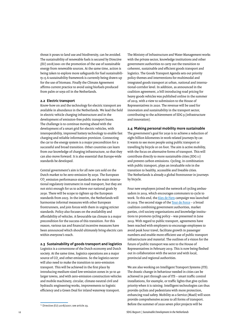threat it poses to land use and biodiversity, can be avoided. The sustainability of renewable fuels is secured by Directive (EU) 2018/2001 on the promotion of the use of sustainable energy from renewable sources. At the same time, action is being taken to explore more safeguards for fuel sustainability.15 A sustainability framework is currently being drawn up for the use of biomass. Finally the Climate Agreement affirms current practice to avoid using biofuels produced from palm or soya oil in the Netherlands.

#### **2.2 Electric transport**

Know-how on and the technology for electric transport are available in abundance in the Netherlands. We lead the field in electric vehicle charging infrastructure and in the development of emission-free public transport buses. The challenge is to continue moving ahead with the development of a smart grid for electric vehicles, with interoperability, improved battery technology to enable fast charging and reliable information provision. Connecting the car to the energy system is a major precondition for a successful and broad transition. Other countries can learn from our knowledge of charging infrastructure, so that they can also move forward. It is also essential that Europe-wide standards be developed.

Central government's aim is for all new cars sold on the Dutch market to be zero-emission by 2030. The European  $\mathrm{CO}_2$  emission performance standards are the main international regulatory instrument in road transport, but they are not strict enough for us to achieve our national goals by 2030. There will be scope to tighten up the European standards from 2023. In the interim, the Netherlands will harmonise informal measures with other European frontrunners, and join forces with them in urging stricter standards. Policy also focuses on the availability and affordability of vehicles. A favourable tax climate is a major precondition for the success of this transition. For this reason, various tax and financial incentive measures have been announced which should ultimately bring electric cars within everyone's reach.

#### **2.3 Sustainability of goods transport and logistics**

Logistics is a cornerstone of the Dutch economy and Dutch society. At the same time, logistics operations are a major source of CO<sub>2</sub> and other emissions. So the logistics sector will also need to make the transition to zero-emission transport. This will be achieved in the first place by introducing medium-sized low-emission zones in 30 to 40 larger towns, and with zero-emission construction vehicles and mobile machinery, circular, climate-neutral civil and hydraulic engineering works, improvements to logistic efficiency and a Green Deal for inland waterway transport.

The Ministry of Infrastructure and Water Management works with the private sector, knowledge institutions and other government authorities to carry out the transition to coherent, sustainable and efficient goods transport and logistics. The Goods Transport Agenda sets out priority policy themes and interventions for multimodal and integrated goods transport at urban, national and international-corridor level. In addition, as announced in the coalition agreement, a bill introducing road pricing for heavy goods vehicles was published online in the summer of 2019, with a view to submission to the House of Representatives in 2020. The revenue will be used for innovation and sustainability in the transport sector, contributing to the achievement of SDG 9 (infrastructure and innovation).

#### **2.4 Making personal mobility more sustainable**

The government's goal for 2030 is to achieve a reduction of eight billion kilometres in work-related journeys by car. It wants to see more people using public transport or travelling by bicycle or on foot. The aim is active mobility, with the focus on alternative forms of transport. This will contribute directly to more sustainable cities (SDG 11) and prevent carbon emissions. Cycling, in combination with public transport, plays an invaluable role in the transition to healthy, accessible and liveable cities. The Netherlands is already a global frontrunner in journeys by bicycle.

Four new employers joined the network of cycling ambassadors in 2019, which encourages commuters to cycle to work. To this end, the [Kies de Fiets](https://www.rijksoverheid.nl/onderwerpen/fiets/werkgevers-stimuleren-fietsgebruik-medewerkers) campaign was launched in 2019. The second stage of the [Tour de Force](https://www.fietsberaad.nl/tour-de-force/home) – a broad coalition combining government authorities, market parties, civil society organisations and knowledge institutions to promote cycling policy – was presented in June 2019. With regard to public transport, agreements have been reached with employers to encourage employees to avoid peak hour travel, facilitate growth in passenger numbers and enable more efficient use of public transport infrastructure and material. The outlines of a vision for the future of public transport was sent to the House of Representatives in February 2019. This is now being fleshed out in collaboration with the sector and with local, provincial and regional authorities.

We are also working on Intelligent Transport Systems (ITS). The drastic change in behaviour needed in cities can be achieved in part through use of ITS – smart traffic control installations, for example, or traffic lights that give cyclists priority when it is raining. Intelligent technologies can thus provide cyclists and pedestrians with more protection, enhancing road safety. Mobility as a Service (MaaS) will soon provide comprehensive access to all forms of transport. Before the summer of 2020 seven pilot projects will be

<sup>&</sup>lt;sup>15</sup> Directive (EU) 2018/2001; see article 29.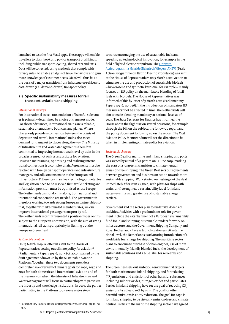launched to test the first MaaS apps. These apps will enable travellers to plan, book and pay for transport of all kinds, including public transport, cycling, shared cars and taxis. Data will be collected, using methods that comply with privacy rules, to enable analysis of travel behaviour and gain more knowledge of customer needs. MaaS will thus be at the basis of a major transition from infrastructure-driven to data-driven (i.e. demand-driven) transport policy.

#### **2.5 Specific sustainability measures for rail transport, aviation and shipping**

#### *International railways*

For international travel, too, emission of harmful substances is primarily determined by choice of transport mode. For shorter distances, international trains are a reliable, sustainable alternative to both cars and planes. Where planes only provide a connection between the points of departure and arrival, international trains also meet demand for transport to places along the way. The Ministry of Infrastructure and Water Management is therefore committed to improving international travel by train in the broadest sense, not only as a substitute for aviation. However, maintaining, optimising and realising international connections is a complex affair. Agreements must be reached with foreign transport operators and infrastructure managers, and adjustments made to the European rail infrastructure. Differences in railway technology, timetables and legislation need to be resolved first, while ticketing and information provision must be optimised across Europe. The Netherlands cannot do this alone; both national and international cooperation are needed. The government is therefore working towards strong European partnerships so that, together with like-minded member states, we can improve international passenger transport by rail. The Netherlands recently presented a position paper on this subject to the European Commission, with the aim of giving international rail transport priority in fleshing out the European Green Deal.

#### *Sustainable aviation*

On 27 March 2019, a letter was sent to the House of Representatives setting out climate policy for aviation<sup>16</sup> (Parliamentary Papers 31936, no. 585), accompanied by the draft agreement drawn up by the Sustainable Aviation Platform. Together, these two documents provide a comprehensive overview of climate goals for 2030, 2050 and 2070 for both domestic and international aviation and of the measures on which the Ministry of Infrastructure and Water Management will focus in partnership with parties in the industry and knowledge institutions. In 2019, the parties participating in the Platform took some major steps

towards encouraging the use of sustainable fuels and speeding up technological innovation, for example in the field of hybrid electric propulsion. The **Ontwerp** [Actieprogramma Hybride Elektrisch Vliegen \(AHEV\)](https://www.rijksoverheid.nl/documenten/rapporten/2020/03/05/bijlage-1-ontwerp-ahev) (Draft Action Programme on Hybrid Electric Propulsion) was sent to the House of Representatives on 5 March 2020. Action to stimulate the use and production of sustainable biofuels – biokerosene and synthetic kerosene, for example – mainly focuses on EU policy on the mandatory blending of fossil fuels with biofuels. The House of Representatives was informed of this by letter of 3 March 2020 (Parliamentary Papers 31936, no. 726). If the introduction of mandatory EU measures cannot be effected in time, the Netherlands will aim to make blending mandatory at national level as of 2023. The State Secretary for Finance has informed the House about the flight tax on several occasions, for example through the bill on the subject, the follow-up report and the policy document following up on the report. The Civil Aviation Policy Memorandum will set the direction to be taken in implementing climate policy for aviation.

#### *Sustainable shipping*

The Green Deal for maritime and inland shipping and ports was signed by a total of 42 parties on 11 June 2019, marking the start of a long-term transition to climate-neutral, emission-free shipping. The Green Deal sets out agreements between government and business on action towards more sustainable shipping. Work started on fleshing out the deal immediately after it was signed, with plans for ships with emission-free engines, a sustainability label for inland waterway ships and greater use of sustainable energy carriers.

Government and the sector plan to undertake dozens of activities. Activities with a predominant role for government include the establishment of a European sustainability fund for inland shipping, sustainable tenders for work on infrastructure, and the Government Shipping Company and Royal Netherlands Navy as launch customers. At international level, the Netherlands is advocating introduction of a worldwide fuel charge for shipping. The maritime sector plans to encourage purchase of clean engines, use of more environmentally-friendly blended fuels, the development of sustainable solutions and a blue label for zero-emission shipping.

The Green Deal sets out ambitious environmental targets for both maritime and inland shipping, and for reducing  $\mathrm{CO}_\mathrm{2}$  emissions and emissions of other harmful substances including sulphur oxides, nitrogen oxides and particulates. Parties in inland shipping have set the goal of reducing CO<sub>2</sub> emissions by at least 20% by 2024. The goal for other harmful emissions is a 10% reduction. The goal for 2050 is for inland shipping to be virtually emission-free and climate neutral. Parties in the maritime shipping sector have agreed

<sup>&</sup>lt;sup>16</sup> Parliamentary Papers, House of Representatives, 2018/19, 31936, no. 585.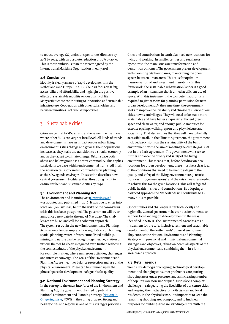<span id="page-13-0"></span>to reduce average CO<sub>2</sub> emissions per tonne kilometre by 20% by 2024, with an absolute reduction of 70% by 2050. This is more ambitious than the targets agreed by the International Maritime Organization in early 2018.

#### **2.6 Conclusion**

Mobility is clearly an area of rapid developments in the Netherlands and Europe. The SDGs help us focus on safety, accessibility and affordability and highlight the positive effects of sustainable mobility on our quality of life. Many activities are contributing to innovation and sustainable infrastructure. Cooperation with other stakeholders and between ministries is of crucial importance.

### 3. Sustainable cities

Cities are central to SDG 11, and at the same time the place where other SDGs converge at local level. All kinds of trends and developments have an impact on our urban living environment. Cities change and grow as their populations increase, as they make the transition to a circular economy and as they adapt to climate change. Urban space both above and below ground is a scarce commodity. This applies particularly to space within environmental norms. All in all, the situation calls for careful, comprehensive planning, as the SDG agenda envisages. This section describes how central government facilitates this, thus doing its bit to ensure resilient and sustainable cities by 2030.

#### **3.1 Environment and Planning Act**

The Environment and Planning Act [\(Omgevingswet\)](https://www.rijksoverheid.nl/onderwerpen/omgevingswet) was adopted and published in 2016. It was due to enter into force on 1 January 2021, but in the wake of the coronavirus crisis this has been postponed. The government will try to announce a new date by the end of May 2020. The challenges are huge, and call for a coherent approach. The system set out in the new Environment and Planning Act is an excellent example of how regulations on building, spatial planning, water infrastructure, listed buildings, mining and nature can be brought together. Legislation on various themes has been integrated even further, reflecting the connectedness of the physical environment, for example in cities, where numerous activities, challenges and interests converge. The goals of the Environment and Planning Act are meant to balance protection and use of the physical environment. These can be summed up in the phrase 'space for development, safeguards for quality'.

#### **3.2 National Environment and Planning Strategy**

In the run-up to the entry into force of the Environment and Planning Act, the government planned to publish a National Environment and Planning Strategy ([Nationale](https://www.rijksoverheid.nl/documenten/rapporten/2019/08/01/draft-national-strategy-on-spatial-planning-and-the-environment-engels)  [Omgevingsvisie](https://www.rijksoverheid.nl/documenten/rapporten/2019/08/01/draft-national-strategy-on-spatial-planning-and-the-environment-engels), NOVI) in the spring of 2020. Strong and healthy cities and regions is one of this strategy's priorities.

Cities and conurbations in particular need new locations for living and working. In smaller centres and rural areas, by contrast, the main issues are transformation and demolition of homes. The government prefers development within existing city boundaries, maintaining the open spaces between urban areas. This calls for optimum harmonisation of and investment in mobility. In this framework, the sustainable urbanisation ladder is a good example of an instrument that is aimed at efficient use of space. With this instrument, the competent authority is required to give reasons for planning permission for new urban development. At the same time, the government seeks to improve the liveability and climate resilience of our cities, towns and villages. They will need to be made more sustainable and have better air quality, sufficient green space and clean water, and enough public amenities for exercise (cycling, walking, sports and play), leisure and socialising. That also implies that they will have to be fully accessible to all. In the Climate Agreement, the government included provisions on the sustainability of the built environment, with the aim of meeting the climate goals set out in the Paris Agreement. The government will seek to further enhance the quality and safety of the living environment. This means that, before deciding on new locations for urban development, there must be a clear idea of the conditions that need to be met to safeguard the quality and safety of the living environment (e.g. restrictions on nitrogen emissions) and the extra measures needed to achieve this for the given locations. This will safeguard public health in cities and conurbations. By adopting a balanced approach the Netherlands will contribute to as many SDGs as possible.

Opportunities and challenges differ both locally and regionally. Central government has various instruments to support local and regional development in the areas identified in SDG 11. The Environmental Agendas are an instrument for the safe, inclusive, resilient and sustainable development of the Netherlands' physical environment. They connect the National Environment and Planning Strategy with provincial and municipal environmental strategies and objectives, taking on board all aspects of the physical environment and combining them in a joint area-based approach.

#### **3.3 Retail agenda**

Trends like demographic ageing, technological developments and changing consumer preferences are putting shopping areas under pressure, and an increasing number of shop units are now unoccupied. Cities face a complex challenge in safeguarding the liveability of our centre cities, and keeping them attractive for both visitors and local residents. In the physical sense, it is important to keep the remaining shopping area compact, and to find new purposes for buildings that are standing empty. With the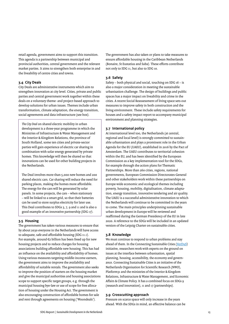retail agenda, government aims to support this transition. This agenda is a partnership between municipal and provincial authorities, central government and the relevant market parties. It aims to strengthen both enterprise in and the liveability of centre cities and towns.

#### **3.4 City Deals**

City Deals are administrative instruments which aim to strengthen innovation at city level. Cities, private and public parties and central government work together within these deals on a voluntary theme- and project-based approach to develop solutions for urban issues. Themes include urban transformation, climate adaptation, the energy transition, social agreements and data infrastructure (see box).

*The City Deal* on shared electric mobility in urban development is a three-year programme in which the Ministries of Infrastructure & Water Management and the Interior & Kingdom Relations, the province of South Holland, some ten cities and private-sector parties will gain experience of electric car sharing in combination with solar energy generated by private homes. This knowledge will then be shared so that innovations can be used for other building projects in the Netherlands.

The Deal involves more than 5,000 new homes and 200 shared electric cars. Car sharing will reduce the need for parking places, making the homes more affordable. The energy for the cars will be generated by solar panels. In some projects, the cars – when stationary – will be linked to a smart grid, so that their batteries can be used to store surplus electricity for later use. This Deal contributes to SDGs 3, 7, 9 and 11 and is also a good example of an innovative partnership (SDG 17).

#### **3.5 Housing**

The government has taken various measures to ensure that by about 2030 everyone in the Netherlands will have access to adequate, safe and affordable housing (SDG 11.1). For example, around €2 billion has been freed up for new housing projects and to reduce charges for housing associations building affordable new housing. This has had an influence on the availability and affordability of homes. Using various measures targeting middle-income earners, the government aims to improve the availability and affordability of suitable rentals. The government also seeks to improve the position of starters on the housing market and give the municipal authorities and housing associations scope to support specific target groups, e.g. through the municipal housing bye-law or use of scope for free allocation of housing under the Housing Act. The government is also encouraging construction of affordable homes for sale and rent through agreements on housing ('Woondeals').

The government has also taken or plans to take measures to ensure affordable housing in the Caribbean Netherlands (Bonaire, St Eustatius and Saba). These efforts contribute not only to SDG 11, but also to SDG 10.

#### **3.6 Safety**

Safety – both physical and social, touching on SDG  $16 - is$ also a major consideration in meeting the sustainable urbanisation challenge. The design of buildings and public spaces has a major impact on liveability and crime in the cities. A recent Social Reassessment of living space sets out measures to improve safety in both construction and the living environment. These include safety requirements for houses and a safety impact report to accompany municipal environment and planning strategies.

#### **3.7 International policy**

At international level too, the Netherlands (at central, regional and local level) is strongly committed to sustainable urbanisation and plays a prominent role in the Urban Agenda for the EU (UAEU), established in 2016 by the Pact of Amsterdam. The UAEU contributes to territorial cohesion within the EU, and has been identified by the European Commission as a key implementation tool for the SDGs, for example through the action plans for Thematic Partnerships. More than 260 cities, regions, national governments, European Commission Directorates-General and other stakeholders work within these partnerships on Europe-wide economic and ecological themes including poverty, housing, mobility, digitalisation, climate adaptation, energy transition, innovative tendering and air quality. The UAEU is a successful administrative innovation to which the Netherlands will continue to be committed in the years to come. The main principles underpinning sustainable urban development in Europe will be reviewed and reaffirmed during the German Presidency of the EU in late 2020. A reference to the SDGs will be included in an updated version of the Leipzig Charter on sustainable cities.

#### **3.8 Knowledge**

We must continue to respond to urban problems and stay ahead of them. In the Connecting Sustainable Cities ([VerDuS\)](https://www.nwo.nl/en/research-and-results/programmes/sgw/verdus-hoofdprogramma/index.html) initiative, researchers work with experts on the ground on issues at the interface between urbanisation, spatial planning, housing, accessibility, the economy and governance. Connecting Sustainable Cities is an initiative of the Netherlands Organisation for Scientific Research (NWO), Platform31 and the ministries of the Interior & Kingdom Relations, Infrastructure & Water Management, and Economic Affairs & Climate Policy. It has a combined focus on SDGs 9 (research and innovation), 11 and 17 (partnerships).

#### **3.9 Crosscutting approach**

Pressure on scarce space will only increase in the years ahead. With the SDGs in mind, an effective balance can be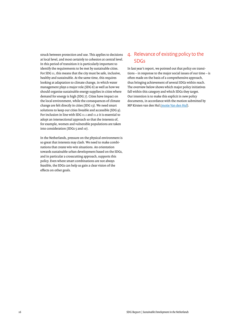<span id="page-15-0"></span>struck between protection and use. This applies to decisions at local level, and most certainly to cohesion at central level. In this period of transition it is particularly important to identify the requirements to be met by sustainable cities. For SDG 11, this means that the city must be safe, inclusive, healthy and sustainable. At the same time, this requires looking at adaptation to climate change, in which water management plays a major role (SDG 6) as well as how we should organise sustainable energy supplies in cities where demand for energy is high (SDG 7). Cities have impact on the local environment, while the consequences of climate change are felt directly in cities (SDG 13). We need smart solutions to keep our cities liveable and accessible (SDG 9). For inclusion in line with SDG 11.1 and 11.2 it is essential to adopt an intersectional approach so that the interests of, for example, women and vulnerable populations are taken into consideration (SDGs 5 and 10).

In the Netherlands, pressure on the physical environment is so great that interests may clash. We need to make combinations that create win-win situations. An orientation towards sustainable urban development based on the SDGs, and in particular a crosscutting approach, supports this policy. Even where smart combinations are not always feasible, the SDGs can help us gain a clear vision of the effects on other goals.

### 4. Relevance of existing policy to the SDGs

In last year's report, we pointed out that policy on transitions – in response to the major social issues of our time – is often made on the basis of a comprehensive approach, thus bringing achievement of several SDGs within reach. The overview below shows which major policy initiatives fall within this category and which SDGs they target. Our intention is to make this explicit in new policy documents, in accordance with the motion submitted by MP Kirsten van den Hul ([motie Van den Hul](https://www.tweedekamer.nl/kamerstukken/moties/detail?id=2019Z23540&did=2019D48737)).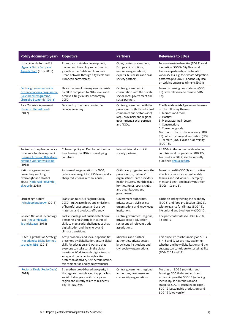| <b>Policy document (year)</b>                                                                                                        | Objective                                                                                                                                                                                                                                                                                                                                         | <b>Partners</b>                                                                                                                                                                                             | <b>Relevance to SDGs</b>                                                                                                                                                                                                                                                                                                 |
|--------------------------------------------------------------------------------------------------------------------------------------|---------------------------------------------------------------------------------------------------------------------------------------------------------------------------------------------------------------------------------------------------------------------------------------------------------------------------------------------------|-------------------------------------------------------------------------------------------------------------------------------------------------------------------------------------------------------------|--------------------------------------------------------------------------------------------------------------------------------------------------------------------------------------------------------------------------------------------------------------------------------------------------------------------------|
| Urban Agenda for the EU<br>(Agenda Stad / Europese<br>Agenda Stad) (from 2015)                                                       | Promote sustainable development,<br>innovation, liveability and economic<br>growth in the Dutch and European<br>urban network through City Deals and<br>European partnerships.                                                                                                                                                                    | Cities, central government,<br>European institutions,<br>umbrella organisations,<br>experts, businesses and civil<br>society partners.                                                                      | Focus on sustainable cities (SDG 11) and<br>innovation (SDG 9). City Deals and<br>European partnerships contribute to<br>various SDGs, e.g. the climate adaptation<br>partnership to SDG 13 and the City Deal<br>on tackling organised crime to SDG 16.                                                                  |
| Central government-wide<br>circular economy programme<br>(Rijksbreed Programma<br>Circulaire Economie) (2016)                        | Halve the use of primary raw materials<br>by 2030 compared to 2016 levels and<br>achieve a fully circular economy by<br>2050.                                                                                                                                                                                                                     | Central government in<br>consultation with the private<br>sector, local government and<br>social partners.                                                                                                  | Focus on reusing raw materials (SDG<br>12), with relevance to climate (SDG<br>13).                                                                                                                                                                                                                                       |
| Raw Materials Agreement<br>(Grondstoffenakkoord)<br>(2017)                                                                           | To speed up the transition to the<br>circular economy.                                                                                                                                                                                                                                                                                            | Central government with the<br>private sector (both individual<br>companies and sector-wide),<br>local, provincial and regional<br>government, social partners<br>and NGOs.                                 | The Raw Materials Agreement focuses<br>on the following themes:<br>1. Biomass and food;<br>2. Plastics;<br>3. Manufacturing industry;<br>4. Construction;<br>5. Consumer goods.<br>Touches on the circular economy (SDG<br>12), infrastructure and innovation (SDG<br>9), climate (SDG 13) and biodiversity<br>(SDG 15). |
| Revised action plan on policy<br>coherence for development<br>(Herzien Actieplan Beleidsco-<br>herentie voor ontwikkeling)<br>(2018) | Coherent policy on Dutch contribution<br>to achieving the SDGs in developing<br>countries.                                                                                                                                                                                                                                                        | Interministerial and civil<br>society partners.                                                                                                                                                             | All SDGs in the context of developing<br>countries and cooperation (SDG 17).<br>For results in 2019, see the recently<br>published annual report.                                                                                                                                                                        |
| National agreement on<br>preventing smoking,<br>overweight and alcohol<br>abuse (Nationaal Preventie-<br>akkoord) (2018)             | A smoke-free generation by 2040,<br>reduce overweight to 1995 levels and a<br>sharp reduction in alcohol abuse.                                                                                                                                                                                                                                   | Civil society organisations, the<br>private sector, patients'<br>organisations, care providers,<br>health insurers, municipal aut-<br>horities, funds, sports clubs<br>and organisations and<br>government. | Focus on health (SDG 3) and positive<br>effects in areas such as: vulnerable<br>families and individuals, unemploy-<br>ment and debt, and healthy nutrition<br>(SDGs 1, 2 and 8).                                                                                                                                        |
| Circular agriculture<br>(Kringlooplandbouw) (2018)                                                                                   | Transition to circular agriculture by<br>2030: limit waste flows and emissions<br>of harmful substances and use raw<br>materials and products efficiently.                                                                                                                                                                                        | Government authorities,<br>private sector, civil society<br>organisations and knowledge<br>institutions.                                                                                                    | Focus on strengthening the economy<br>(SDG 8) and food production (SDG 2),<br>with relevance for climate (SDG 13),<br>life on land and biodiversity (SDG 15).                                                                                                                                                            |
| <b>Revised National Technology</b><br>Pact (Het vernieuwde<br>Techniekpact) (2018)                                                   | Tackle shortages of qualified technical<br>personnel and shortfalls in technical<br>skills to meet social challenges such as<br>digitalisation and the energy and<br>climate transitions.                                                                                                                                                         | Central government, regions,<br>private sector, education<br>sector and all relevant trade<br>associations.                                                                                                 | The pact contributes to SDGs 4, 7, 8,<br>13 and 17.                                                                                                                                                                                                                                                                      |
| <b>Dutch Digitalisation Strategy</b><br>(Nederlandse Digitaliserings-<br>strategie, NDS) (2018)                                      | Grasp economic and social opportunities<br>presented by digitalisation, ensure digital<br>skills for education and work so that<br>everyone can take part in the digital<br>transition. Work towards digital trust to<br>safeguard fundamental rights like<br>protection of privacy, self-determination,<br>fair competition and good governance. | Ministries and partner<br>authorities, private sector,<br>knowledge institutions and<br>civil society organisations.                                                                                        | This objective touches mainly on SDGs<br>3, 4, 8 and 9. We are now exploring<br>whether and how digitalisation and the<br>strategy can contribute to sustainability<br>(SDGs 7, 11 and 12).                                                                                                                              |
| (Regional Deals (Regio Deals)<br>(2018)                                                                                              | Strengthen broad-based prosperity in<br>the regions through a joint approach to<br>social challenges specific to a given<br>region and directly relate to residents'<br>day-to-day lives.                                                                                                                                                         | Central government, regional<br>authorities, businesses and<br>civil society organisations.                                                                                                                 | Touches on SDG 2 (nutrition and<br>farming), SDG 8 (decent work and<br>economic growth), SDG 10 (reducing<br>inequality, social cohesion and<br>stability), SDG 11 (sustainable cities),<br>SDG 12 (sustainable production) and<br>SDG 15 (biodiversity).                                                                |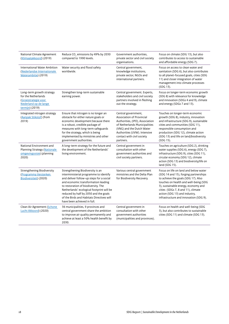| National Climate Agreement<br>(Klimaatakkoord) (2019)                                                                | Reduce CO <sub>2</sub> emissions by 49% by 2030<br>compared to 1990 levels.                                                                                                                                                                                                                                                                                            | Government authorities,<br>private sector and civil society<br>organisations.                                                                                                                                                | Focus on climate (SDG 13), but also<br>contributes to access to sustainable<br>and affordable energy (SDG 7).                                                                                                                                                                                                          |
|----------------------------------------------------------------------------------------------------------------------|------------------------------------------------------------------------------------------------------------------------------------------------------------------------------------------------------------------------------------------------------------------------------------------------------------------------------------------------------------------------|------------------------------------------------------------------------------------------------------------------------------------------------------------------------------------------------------------------------------|------------------------------------------------------------------------------------------------------------------------------------------------------------------------------------------------------------------------------------------------------------------------------------------------------------------------|
| International Water Ambition<br>(Nederlandse Internationale<br>Waterambitie) (2019)                                  | Water security and flood safety<br>worldwide.                                                                                                                                                                                                                                                                                                                          | Central government,<br>knowledge institutions,<br>private sector, NGOs and<br>international partners.                                                                                                                        | Focus on access to clean water and<br>sanitation (SDG 6), but also contributes<br>to all planet-focused goals, cities (SDG<br>11) and closer integration of water<br>management into climate processes<br>(SDG 13).                                                                                                    |
| Long-term growth strategy<br>for the Netherlands<br>(Groeistrategie voor<br>Nederland op de lange<br>termijn) (2019) | Strengthen long-term sustainable<br>earning power.                                                                                                                                                                                                                                                                                                                     | Central government. Experts,<br>stakeholders and civil society<br>partners involved in fleshing<br>out the strategy.                                                                                                         | Focus on longer-term economic growth<br>(SDG 8) with relevance for knowledge<br>and innovation (SDGs 4 and 9), climate<br>and energy (SDGs 7 and 13).                                                                                                                                                                  |
| Integrated nitrogen strategy<br>(Aanpak Stikstof) (from<br>2019)                                                     | Ensure that nitrogen is no longer an<br>obstacle for either nature goals or<br>economic development because there<br>is a robust, credible package of<br>measures with long-term safeguards<br>for the strategy, which is being<br>implemented by ministries and other<br>government authorities.                                                                      | Central government,<br>Association of Provincial<br>Authorities, (IPO), Association<br>of Netherlands Municipalities<br>(VNG) and the Dutch Water<br>Authorities (UVW). Intensive<br>contact with civil society<br>partners. | Touches on longer-term economic<br>growth (SDG 8), industry, innovation<br>and infrastructure (SDG 9), sustainable<br>cities and communities (SDG 11),<br>responsible consumption and<br>production (SDG 12), climate action<br>(SDG 13) and life on land/biodiversity<br>(SDG 15).                                    |
| National Environment and<br><b>Planning Strategy (Nationale)</b><br>omgevingsvisie) (planning<br>2020)               | A long-term strategy for the future and<br>the development of the Netherlands'<br>living environment.                                                                                                                                                                                                                                                                  | Central government in<br>consultation with other<br>government authorities and<br>civil society partners.                                                                                                                    | Touches on agriculture (SDG 2), drinking<br>water supplies (SDG 6), energy (SDG 7),<br>infrastructure (SDG 9), cities (SDG 11),<br>circular economy (SDG 12), climate<br>action (SDG 13) and biodiversity/life on<br>land (SDG 15).                                                                                    |
| <b>Strengthening Biodiversity</b><br>(Programma Versterken<br>Biodiversiteit) (2020)                                 | Strengthening Biodiversity is an<br>interministerial programme to identify<br>and deliver follow-up steps for a social<br>and economic transformation leading<br>to restoration of biodiversity. The<br>Netherlands' ecological footprint will be<br>reduced by half by 2050 and the goals<br>of the Birds and Habitats Directives will<br>have been achieved in full. | Various central government<br>ministries and the Delta Plan<br>for Biodiversity Recovery.                                                                                                                                    | Focus on life on land and below water<br>(SDG 14 and 15), forging partnerships<br>to achieve the goals (SDG 17). Also<br>touches on health and well-being (SDG<br>3), sustainable energy, economy and<br>cities (SDGs 7, 8 and 11), climate<br>action (SDG 13) and industry,<br>infrastructure and innovation (SDG 9). |
| Clean Air Agreement (Schone<br>Lucht Akkoord) (2020)                                                                 | 36 municipalities, 9 provinces and<br>central government share the ambition<br>to improve air quality permanently and<br>achieve at least a 50% health benefit by<br>2030.                                                                                                                                                                                             | Central government in<br>consultation with other<br>government authorities<br>(municipalities and provinces).                                                                                                                | Focus on health and well-being (SDG<br>3), but also contributes to sustainable<br>cities (SDG 11) and climate (SDG 13).                                                                                                                                                                                                |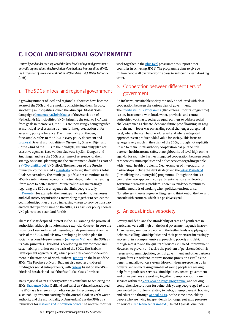# <span id="page-18-0"></span>**C. LOCAL AND REGIONAL GOVERNMENT**

*Drafted by and under the auspices of the three local and regional government umbrella organisations: the Association of Netherlands Municipalities (VNG), the Association of Provincial Authorities (IPO) and the Dutch Water Authorities (UVW)*

### 1. The SDGs in local and regional government

A growing number of local and regional authorities have become aware of the SDGs and are working on achieving them. In 2019, another 25 municipalities joined the Municipal Global Goals Campaign [\(Gemeenten4GlobalGoals](https://vng.nl/rubrieken/onderwerpen/global-goals-voor-gemeenten)) of the Association of Netherlands Municipalities (VNG), bringing the total to 87. Apart from goals in themselves, the SDGs are increasingly being regarded at municipal level as an instrument for integrated action or for assessing policy coherence. The municipality of Rheden, for example, refers to the SDGs in every policy document and [proposal.](https://rheden4globalgoals.nl/bw-en-raadvoorstel-aangepast-met-global-goals/) Several municipalities – Oisterwijk, Gilze en Rijen and Goirle – linked the SDGs to their budgets, sustainability plans or executive agendas. Leeuwarden, Súdwest-Fryslân, Dongen and Smallingerland use the SDGs as a frame of reference for their strategy on spatial planning and the environment, drafted as part of a [VNG-praktijkproef](https://depilotstarter.vng.nl/projecten/omgevingsdomein/praktijkproef-opstellen-afwegingskader-omgevingsvisie-vanuit-het) (VNG pilot). The members of the Utrecht municipal council issued a [manifesto](https://www.utrecht.nl/bestuur-en-organisatie/internationale-zaken/global-goals/) declaring themselves Global Goals Ambassadors. The municipality of Oss has committed to the SDGs for international economic partnerships, under the heading 'from more to better growth'. Municipalities are increasingly regarding the SDGs as an agenda that links people locally. In [Deventer,](https://www.deventer4globalgoals.nl) for example, the municipality, residents, businesses and civil society organisations are working together to achieve the goals. Municipalities are also increasingly keen to provide transparency on their performance on the SDGs, as a basis for policy choices. VNG plans to set a standard for this.

There is also widespread interest in the SDGs among the provincial authorities, although not often made explicit. However, in 2019 the province of Zeeland started presenting all its procurement on the basis of the SDGs, and it is now developing its action plan for socially responsible procurement ([Actieplan MVI\)](https://mviplatform.nl/dashboard-provincie-zeeland/) with the SDGs as its basic principles. Flevoland is developing an environment and sustainability monitor on the basis of the SDGs. The Brabant Development Agency (BOM), which promotes economic development in the province of North Brabant, [reports](https://prestaties.bom.nl/) on the basis of the SDGs. The Province of North Brabant also uses results-based funding for social entrepreneurs, with [criteria](https://www.brabant.nl/subsites/brabant-outcomes-fund/expeditie-2019) based on the SDGs. Friesland has declared itself the first Global Goals Province.

Many regional water authority activities contribute to achieving the SDGs. [Brabantse Delta,](https://www.brabantsedelta.nl/klimaat) Delfland and Vallei en Veluwe have adopted the SDGs as a framework for policy on circular economy and sustainability. Waternet (acting for the Amstel, Gooi en Vecht water authority and the municipality of Amsterdam) use the SDGs as a framework for [research and innovation policy.](https://www.waternet.nl/en/innovation/) The water authorities work together in the **[Blue Deal](https://www.uvw.nl/thema/internationaal/blue-deal/)** programme to support other countries in achieving SDG 6. The programme aims to give 20 million people all over the world access to sufficient, clean drinking water.

### 2. Cooperation between different tiers of government

An inclusive, sustainable society can only be achieved with close cooperation between the various tiers of government. The [Interbestuurlijk Programma](https://www.overheidvannu.nl/over-het-ibp) (IBP) (Inter-authority Programme) is a key instrument, with local, water, provincial and central authorities working together as equal partners to address social challenges such as climate, debt and future-proof housing. In 2019 too, the main focus was on tackling social challenges at regional level, where they can best be addressed and where integrated approaches can produce added value for society. This focus on synergy is very much in the spirit of the SDGs, though not explicitly linked to them. Inter-authority cooperation has put the link between healthcare and safety at neighbourhood level high on the agenda: for example, further integrated cooperation between youth care services, municipalities and police services regarding people with mental health problems. Clear examples of inter-authority partnerships include the debt strategy and the [Vitaal Platteland](https://www.werkplaatsvitaalplatteland.nl) (Revitalising the Countryside) programme. Though the aim is a comprehensive approach, compartmentalisation at all levels of government remains a problem. There is a tendency to return to familiar methods of working when political tensions arise. Nonetheless, there is a great willingness to think out of the box and consult with partners, which is a positive signal.

### 3. An equal, inclusive society

Poverty and debt, and the affordability of care and youth care in particular, were still high on the local government agenda in 2019. An increasing number of people in the Netherlands is applying for debt counselling. Municipalities and their partners are increasingly successful in a comprehensive approach to poverty and debt, though access to and the quality of services still need improvement. However, to prevent and tackle the problem of persistent debt, it is necessary for municipalities, central government and other partners to join forces in order to improve income provision as well as the benefits and allowances system. More children are growing up in poverty, and an increasing number of young people are seeking help from youth care services. Municipalities, central government and other partners are working together to improve youth care services within the **Zorg voor de Jeugd programme**, and seeking comprehensive solutions for vulnerable young people aged 16 to 27 confronted by problems relating to debts, unemployment, housing and education through [Aanpak 16-27.](https://www.16-27.nl/over-16-27) At the same time, elderly people who are living independently for longer put extra pressure on services. [Eén tegen eenzaamheid](https://www.eentegeneenzaamheid.nl) ('United Against Loneliness')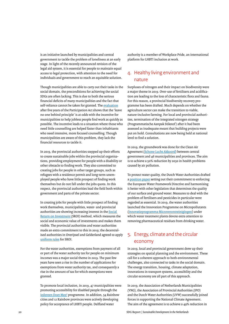<span id="page-19-0"></span>is an initiative launched by municipalities and central government to tackle the problem of loneliness at an early stage. In light of the recently announced revision of the legal aid system, it is essential for people to maintain equal access to legal protection, with attention to the need for individuals and government to reach an equitable solution.

Though municipalities are able to carry out their tasks in the social domain, the preconditions for achieving the social SDGs are often lacking. This is due to both the serious financial deficits of many municipalities and the fact that self-reliance cannot be taken for granted. The [evaluation](https://www.scp.nl/publicaties/publicaties/2019/11/19/eindevaluatie-van-de-participatiewet) after five years of the Participation Act shows that the 'leave no one behind principle' is at odds with the incentive for municipalities to help jobless people find work as quickly as possible. The incentive leads to a situation where those who need little counselling are helped faster than inhabitants who need intensive, more focused counselling. Though municipalities are aware of this problem, they lack the financial resources to tackle it.

In 2019, the provincial authorities stepped up their efforts to create sustainable jobs within the provincial organisations, providing employment for people with a disability or other obstacle to finding work. They also committed to creating jobs for people in other target groups, such as refugees with a residence permit and long-term unemployed people who have little prospect of finding work themselves but do not fall under the jobs quota. In this respect, the provincial authorities lead the field both within government and parts of the private sector.

In creating jobs for people with little prospect of finding work themselves, municipalities, water- and provincial authorities are showing increasing interest in the [Social](http://sroi-aanbesteding.nl)  [Return on Investment](http://sroi-aanbesteding.nl) (SROI) method, which measures the social and economic value of investments and makes them visible. The provincial authorities and water authorities made an extra commitment to this in 2019; the decentralised authorities in Overijssel and Gelderland agreed to apply [uniform rules](https://daarwerkenweaan.nl/nieuws/uniforme-sroi-spelregels-in-oost-nederland/) for SROI.

For the water authorities, exemptions from payment of all or part of the water authority tax for people on minimum incomes was a major social theme in 2019. The past few years have seen a rise in the number of applications for exemptions from water authority tax, and consequently a rise in the amount of tax for which exemptions were granted.

To promote local inclusion, in 2019, 47 municipalities were promoting accessibility for disabled people through the [Iedereen Doet Mee!](https://vng.nl/rubrieken/onderwerpen/iedereen-doet-mee) programme. In addition, 54 Rainbow cities and 12 Rainbow provinces were actively developing policy for acceptance of LHBTI people. Delfland water

authority is a member of Workplace Pride, an international platform for LHBTI inclusion at work.

### 4. Healthy living environment and nature

Surpluses of nitrogen and their impact on biodiversity were a major theme in 2019. Over-use of fertilisers and acidification are leading to the loss of characteristic flora and fauna. For this reason, a provincial biodiversity recovery programme has been drafted. Much depends on whether the agriculture sector can make the transition to viable, nature-inclusive farming. For local and provincial authorities, termination of the integrated nitrogen strategy (Programmatische Aanpak Stikstof ) after it had been assessed as inadequate meant that building projects were put on hold. Consultations are now being held at national level to find a solution.

In 2019, the groundwork was done for the Clean Air Agreement ([Schone Lucht Akkoord](https://www.rijksoverheid.nl/onderwerpen/luchtkwaliteit/gezondheidsschade-door-luchtvervuiling-halveren)) between central government and 46 municipalities and provinces. The aim is to achieve a 50% reduction by 2030 in health problems caused by air pollution.

To protect water quality, the Dutch Water Authorities drafted a [position paper](https://www.uvw.nl/wp-content/uploads/2019/03/Positionpaper-Kaderrichtlijn-Water-2019.pdf) setting out their commitment to enforcing the European Water Framework Directive and harmonising it better with other legislation that determines the quality of our surface and ground water. Measures to deal with the problem of fertilisers and pesticides in particular were regarded as essential. In 2019, the water authorities launched the Innovation Programme on Micropollutants [\(Innovatieprogramma Microverontreinigingen](https://www.rijksoverheid.nl/binaries/rijksoverheid/documenten/rapporten/2019/11/06/voortgangsbericht-ketenaanpak-medicijnresten/voortgangsbericht-ketenaanpak-medicijnresten.pdf)) under which water treatment plants devote extra attention to removing pharmaceutical residues from drinking water.

### 5. Energy, climate and the circular economy

In 2019, local and provincial government drew up their strategies on spatial planning and the environment. These call for a coherent approach to both environmental challenges, also connected to tasks in the social domain. The energy transition, housing, climate adaptation, innovations in transport systems, accessibility and the circular economy are all part of this approach.

In 2019, the Association of Netherlands Municipalities (VNG), the Association of Provincial Authorities (IPO) and the Dutch Water Authorities (UVW) successfully joined forces in supporting the National Climate Agreement. The aim of the agreement is to achieve a 49% reduction in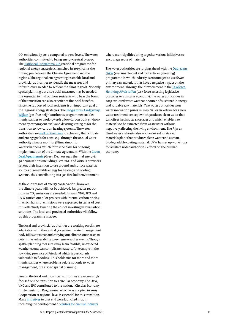CO $_{\tiny 2}$  emissions by 2030 compared to 1990 levels. The water authorities committed to being energy-neutral by 2025. The [Nationaal Programma RES](https://www.regionale-energiestrategie.nl/default.aspx) (national programme for regional energy strategies), launched in 2019, forms the linking pin between the Climate Agreement and the regions. The regional energy strategies enable local and provincial authorities to identify the measures and infrastructure needed to achieve the climate goals. Not only spatial planning but also social measures may be needed. It is essential to find out how residents who bear the brunt of the transition can also experience financial benefits, since the support of local residents is an important goal of the regional energy strategies. The [Programma Aardgasvrije](https://aardgasvrijewijken.nl/default.aspx)  [Wijken](https://aardgasvrijewijken.nl/default.aspx) (gas-free neighbourhoods programme) enables municipalities to work towards a low-carbon built environment by carrying out trials and devising strategies for the transition to low-carbon heating systems. The water authorities are [well on their way](https://www.uvw.nl/waterschappen-op-koers-met-energie-en-klimaatambities/) to achieving their climate and energy goals for 2020, e.g. through the annual water authority climate monitor (Klimaatmonitor Waterschappen), which forms the basis for ongoing implementation of the Climate Agreement. With the Green [Deal Aquathermie](https://www.uvw.nl/huizen-verwarmen-met-warmte-uit-water-heeft-de-toekomst/) (Green Deal on aqua thermal energy), 40 organisations including UVW, VNG and various provinces set out their intention to use ground and surface water as sources of renewable energy for heating and cooling systems, thus contributing to a gas-free built environment.

At the current rate of energy conservation, however, the climate goals will not be achieved. Far greater reductions in CO<sub>2</sub> emissions are needed. In 2019, VNG, IPO and UVW carried out pilot projects with internal carbon pricing, in which harmful emissions were expressed in terms of cost, thus effectively lowering the cost of investing in low-carbon solutions. The local and provincial authorities will follow up this programme in 2020.

The local and provincial authorities are working on climate adaptation with the central government water management body Rijkswaterstaat and carrying out climate stress tests to determine vulnerability to extreme weather events. Though spatial planning measures may seem feasible, unexpected weather events can complicate matters, for example in the low-lying province of Friesland which is particularly vulnerable to flooding. This holds true for more and more municipalities where problems relate not only to water management, but also to spatial planning.

Finally, the local and provincial authorities are increasingly focused on the transition to a circular economy. The UVW, VNG and IPO contributed to the national Circular Economy Implementation Programme, which was adopted in 2019. Cooperation at regional level is essential for this transition. Many [initiatives](https://www.pbl.nl/publicaties/circulaire-economie-in-kaart) to that end were launched in 2019, including the development of **centres** for circular industry

where municipalities bring together various initiatives to encourage reuse of materials.

The water authorities are forging ahead with the **Duurzaam** [GWW](https://www.uvw.nl/thema/duurzaamheid/circulaire-economie/) (sustainable civil and hydraulic engineering) programme in which industry is encouraged to use fewer primary raw materials that have a negative impact on the environment. Through their involvement in the [Taskforce](https://www.uvw.nl/thema/duurzaamheid/taskforce-herijking-afvalstoffen)  [Herijking Afvalstoffen](https://www.uvw.nl/thema/duurzaamheid/taskforce-herijking-afvalstoffen) (task force assessing legislative obstacles to a circular economy), the water authorities in 2019 explored waste water as a source of sustainable energy and valuable raw materials. Two water authorities won water innovation prizes in 2019: Vallei en Veluwe for a new water treatment concept which produces clean water that can offset freshwater shortages and which enables raw materials to be extracted from wastewater without negatively affecting the living environment. The Rijn en IJssel water authority also won an award for its raw materials plant that produces clean water and a smart, biodegradable coating material. UVW has set up workshops to facilitate water authorities' efforts on the circular economy.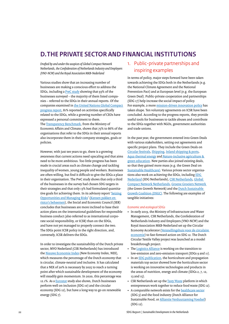# <span id="page-21-0"></span>**D.THE PRIVATE SECTOR AND FINANCIAL INSTITUTIONS**

*Drafted by and under the auspices of Global Compact Network Netherlands, the Confederation of Netherlands Industry and Employers (VNO-NCW) and the Royal Association MKB-Nederland* 

Various studies show that an increasing number of businesses are making a conscious effort to address the SDGs, including a [PwC study](https://www.pwc.nl/nl/actueel-en-publicaties/themas/duurzaamheid/sdg-challenge-2019.html) showing that 93% of the businesses surveyed – the majority of them listed companies – referred to the SDGs in their annual reports. Of the companies examined in [the United Nations Global Compact](https://www.unglobalcompact.org/library/5716)  [progress report,](https://www.unglobalcompact.org/library/5716) 81% reported on activities specifically related to the SDGs, while a growing number of CEOs have expressed a personal commitment to them. The [Transparency Benchmark](https://www.transparantiebenchmark.nl), from the Ministry of Economic Affairs and Climate, shows that 75% to 86% of the organisations that refer to the SDGs in their annual reports also incorporate them in their company strategies, goals or policies.

However, with just ten years to go, there is a growing awareness that current actions need upscaling and that aims need to be more ambitious. Too little progress has been made in crucial areas such as climate change and tackling inequality of women, young people and workers. Businesses are often willing, but find it difficult to give the SDGs a place in their organisation. The PwC study shows that only a third of the businesses in the survey had chosen SDG targets in their strategies and that only 13% had formulated quantitative goals for achieving them. In its advisory report 'Seizing [Opportunities and Managing Risks' \(Kansen pakken en](https://www.ser.nl/nl/Publicaties/sdg-imvo)  [risico's beheersen\)](https://www.ser.nl/nl/Publicaties/sdg-imvo), the Social and Economic Council (SER) concludes that businesses are more inclined to base their action plans on the international guidelines for responsible business conduct (also referred to as international corporate social responsibility, or ICSR) than on the SDGs, and have not yet managed to properly connect the two. The SDGs point ICSR policy in the right direction, and, conversely, ICSR delivers the SDGs.

In order to investigate the sustainability of the Dutch private sector, MVO Nederland (CSR Netherlands) has introduced the **Nieuwe Economie Index** (New Economy Index, NEX), which measures the percentage of the Dutch economy that is circular, climate-neutral and inclusive. It has calculated that a NEX of 20% is necessary by 2025 to reach a turning point after which sustainable development of the economy will steadily gain momentum. In 2020, this percentage was 12.1%. As a [Eurostat](https://ec.europa.eu/eurostat/statistics-explained/index.php/Renewable_energy_statistics) study also shows, Dutch businesses perform well on inclusion (SDG 10) and the circular economy (SDG 12), but have a long way to go on renewable energy (SDG 7).

### 1. Public-private partnerships and inspiring examples

In terms of policy, major steps forward have been taken towards achieving the SDGs both in the Netherlands (e.g. the National Climate Agreement and the National Prevention Pact) and at European level (e.g. the European Green Deal). Public-private cooperation and partnerships (SDG 17) help increase the social impact of policy. For example, a more [mission-driven innovation policy](https://www.rijksoverheid.nl/actueel/nieuws/2019/04/26/kabinet-stelt-25-missies-vast-voor-het-topsectoren--en-innovatiebeleid) has taken shape. Ten voluntary agreements on ICSR have been concluded. According to the progress reports, they provide useful tools for businesses to tackle abuses and contribute to the SDGs together with NGOs, government authorities and trade unions.

In the past year, the government entered into Green Deals with various stakeholders, setting out agreements and specific project plans. They include the Green Deals on [Circular festivals](https://www.greendeals.nl/green-deals/green-deal-circulaire-festivals), [Shipping](https://www.greendeals.nl/green-deals/green-deal-zeevaart-binnenvaart-en-havens), [Inland shipping & ports](https://www.greendeals.nl/green-deals/green-deal-zeevaart-binnenvaart-en-havens), [Aqua thermal energy](https://www.greendeals.nl/green-deals/green-deal-aquathermie) and [Nature-inclusive agriculture &](https://www.greendeals.nl/green-deals/natuurinclusieve-landbouw-groen-onderwijs)  [green education.](https://www.greendeals.nl/green-deals/natuurinclusieve-landbouw-groen-onderwijs) New parties also joined existing deals, so that they gained more mass (e.g. the Green Deal on [Sustainable Healthcare\)](https://milieuplatformzorg.nl/green-deal/). Various private sector organisations also work on achieving the SDGs, including SDG [Nederland](https://www.sdgnederland.nl) (SDG Netherlands), [CSR Netherlands](https://www.mvonederland.nl), [Global](https://gcnetherlands.nl)  [Compact Network Netherlands,](https://gcnetherlands.nl) [Groene Groeiers Netwerk](https://www.groenegroeiers.nl/#/)  (the Green Growth Network) and the [Dutch Sustainable](https://www.dsgc.nl/nl)  [Growth Coalition \(DSGC\).](https://www.dsgc.nl/nl) The following are examples of tangible initiatives:

#### *Economic and ecological SDGs*

- In early 2019, the Ministry of Infrastructure and Water Management, CSR Netherlands, the Confederation of Netherlands Industry and Employers (VNO-NCW) and the Royal Association MKB-Nederland set up the Circular Economy Accelerator [\(Versnellingshuis voor de circulaire](https://versnellingshuisce.nl)  [economie](https://versnellingshuisce.nl)) to fast-forward action on SDG 12. The Dutch Circular Textile Valley project was launched as a model breakthrough project.
- The [Logistics Alliance](https://files.smart.pr/38/b659360e8e49b4828b8e065faaf86d/Visie-Handel-en-Logistiek-in-2040.pdf) is working on the transition to low-emission and zero-emission transport (SDGs 9 and 11).
- In an [SDG publication,](https://topsectortu.nl/sites/topsectortu.nl/files/files/DEF%20Brochure%20Topsector%20NL_Topsector%20T%26U%20en%20SDG) the horticulture and propagation materials top sector showed how the horticulture sector is working on innovative technologies and products in the areas of nutrition, energy and climate (SDGs 2, 7, 12, 13 and 15).
- CSR Netherlands set up the [Tasty Waste](https://www.mvonederland.nl/en/case/tasty-waste-platform-to-reduce-food-waste/) platform in which entrepreneurs work together to reduce food waste (SDG 12).
- A comparable network exists for the [healthcare sector](https://www.mvonederland.nl/en/care-network/) (SDG 3) and the food industry (Dutch Alliance for Sustainable Food, or **[Alliantie Verduurzaming Voedsel](https://www.verduurzamingvoedsel.nl)**) (SDG 12).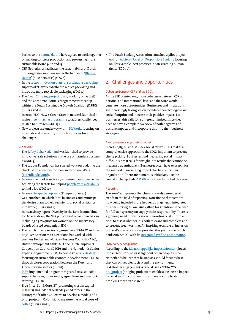- <span id="page-22-0"></span>• Parties to the **betonakkoord** have agreed to work together on making concrete production and processing more sustainable (SDGs 9, 12 and 13).
- CSR Netherlands facilitates the sustainability of Dutch drinking water suppliers under the banner of 'Blauwe [Netten'](https://www.h2owaternetwerk.nl/h2o-actueel/blauwe-netten-alle-drinkwaterbedrijven-doen-mee) (blue networks) (SDG 6).
- In the [sector innovation plan for sustainable packaging](https://kidv.nl/brancheplannen) supermarkets work together to reduce packaging and introduce more recyclable packaging (SDG 12).
- The [Clean Shipping project](https://www.dsgc.nl/nl) (using cooking oil as fuel) and the Corporate Biofuels programme were set up within the Dutch Sustainable Growth Coalition (DSGC) (SDGs 7 and 13).
- In 2019, VNO-NCW's Green Growth network launched a major [matchmaking programme](https://www.groenegroeiers.nl/uitdagingen) to address challenges related to nitrogen (SDG 13).
- New projects are underway within [NL Works](https://nl-works.nl) focusing on international marketing of Dutch solutions for SDG challenges.

#### *Social SDGs*

- The [Safety Delta Nederland](https://www.dv2030.nl/safety-delta-nederland) was launched to provide innovative, safe solutions in the use of harmful substances (SDG 3).
- The Labour Foundation has started work on updating the checklist on equal pay for men and women (SDG 5) [\(Je verdiende loon!\)](https://loonwijzer.nl/documents/gelijkloon/checklist-Je-verdiende-loon.pdf/view).
- In 2019, the market sector again more than succeeded in achieving the targets for helping [people with a disability](https://www.opnaarde100000.nl) to find a job (SDG 10).
- In 2019, [Perspectief op werk](https://www.perspectiefopwerk.info) (Prospect of work) was launched, in which local businesses and municipalities devise plans to help recipients of social assistance into work (SDGs 1 and 8).
- In its advisory report 'Diversity in the Boardroom: Time for Acceleration', the SER put forward recommendations including a 30% quota for women on the supervisory boards of listed companies (SDG 5).
- The Dutch private sector organised in VNO-NCW and the Royal Association MKB-Nederland has worked with partners Netherlands-African Business Council (NABC), Dutch development bank FMO, the Dutch Employers Cooperation Council (DECP) and the Netherlands Senior Experts Programme (PUM) to devise an [Africa Strategy](https://www.vno-ncw.nl/sites/default/files/2611_brochure_afrikastrategie_webversie.pdf) focusing on sustainable economic development (SDG 8) through closer cooperation between the Dutch and African private sectors (SDG 8).
- [PUM](https://www.pum.nl) implemented programmes geared to sustainable supply chains in, for example, agriculture and livestock farming (SDG 8).
- True Price, Soil&More, EY (promoting trust in capital markets) and CSR Netherlands joined forces in the Futureproof Coffee Collective to develop a model and a pilot project in Colombia to measure the actual costs of [coffee](https://www.mvonederland.nl/case/mvo-nederland-gaat-voor-eerlijke-koffieprijs-met-futureproof-coffee-collective/) (SDGs 1 and 8).

• The Dutch Banking Association launched a pilot project with an [Advisory Panel on Responsible Banking](https://www.nvb.nl/themas/verduurzaming/advisory-panel-on-responsible-banking/) focusing on, for example, best practices in safeguarding human rights (SDG 10).

### 2. Challenges and opportunities

#### *Coherence between CSR and the SDGs*

As the SER pointed out, more coherence between CSR at national and international level and the SDGs would generate more opportunities. Businesses and institutions are increasingly taking action to reduce their ecological and social footprint and increase their positive impact. For businesses, this calls for a different mindset, since they need to have a complete overview of both negative and positive impacts and incorporate this into their business strategies.

#### *A comprehensive approach to impact*

Increasingly, businesses seek social returns. This makes a comprehensive approach to the SDGs important to prevent cherry picking. Businesses find measuring social impact difficult, since it calls for insight into results that cannot be measured quantitatively. Businesses often have to search for the method of measuring impact that best suits their organisation. There are numerous initiatives, like the 'Social Exchange Index' [MAEX](https://maex.nl/#/home) which was launched this year.

#### *Reporting*

The 2019 Transparency Benchmark reveals a number of trends in the field of reporting. Non-financial targets are now being included more frequently in general, integrated business strategies. An issue calling for attention is the need for full transparency on supply chain responsibility. There is a growing need for verification of non-financial information, to assess whether it is both relevant and complete and to prevent greenwashing. An inspiring example of inclusion of the SDGs in reports was provided this year by the Dutch bank ABN AMRO, with its [Integrated Profit & Loss account.](https://www.impactinstitute.com/integrated-profit-and-loss-abn/)

#### *Stakeholder engagement*

According to the [Maatschappelijke Impact Monitor](http://thisiswhy.nl/maatschappelijke-impact-monitor/) (Social Impact Monitor), at least eight out of ten people in the Netherlands believe that businesses should focus as best they can on people, society and the environment. Stakeholder engagement is crucial (see VNO-NCW's [Brugproject](https://www.vno-ncw.nl/nieuws/ondernemers-gesprek-met-samenleving-over-maatschappelijke-rol) (bridging project)) to enable a business's impact to be taken into consideration and make complicated problems more transparent.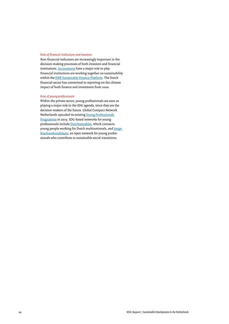#### *Role of financial institutions and investors*

Non-financial indicators are increasingly important in the decision-making processes of both investors and financial institutions. **Accountants** have a major role to play. Financial institutions are working together on sustainability within the **DNB** Sustainable Finance Platform. The Dutch financial sector has committed to reporting on the climate impact of both finance and investment from 2020.

#### *Role of young professionals*

Within the private sector, young professionals are seen as playing a major role in the SDG agenda, since they are the decision-makers of the future. Global Compact Network Netherlands upscaled its existing [Young Professionals](https://gcnetherlands.nl/young-professional-programma/)  [Programme](https://gcnetherlands.nl/young-professional-programma/) in 2019. SDG-based networks for young professionals include [Dutchtainables,](https://dutchtainables.org) which connects young people working for Dutch multinationals, and [Jonge](http://www.jongekrachtenbundelaars.nl)  [Krachtenbundelaars](http://www.jongekrachtenbundelaars.nl), an open network for young professionals who contribute to sustainable social transitions.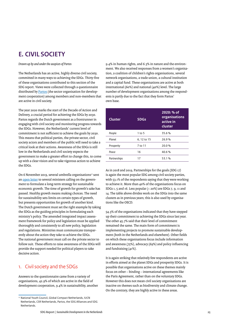# <span id="page-24-0"></span>**E. CIVIL SOCIETY**

*Drawn up by and under the auspices of Partos*

The Netherlands has an active, highly diverse civil society, committed in many ways to achieving the SDGs. Thirty-five of these organisations contributed to this section of the SDG report. Views were collected through a questionnaire distributed by [Partos](https://www.partos.nl) (the sector organisation for development cooperation) among members and non-members that are active in civil society.

The year 2020 marks the start of the Decade of Action and Delivery, a crucial period for achieving the SDGs by 2030. Partos regards the Dutch government as a frontrunner in engaging with civil society and monitoring progress towards the SDGs. However, the Netherlands' current level of commitment is not sufficient to achieve the goals by 2030. This means that political parties, the private sector, civil society actors and members of the public will need to take a critical look at their actions. Awareness of the SDGs is still low in the Netherlands and civil society expects the government to make a greater effort to change this, to come up with a clear vision and to take vigorous action to achieve the SDGs.

On 6 November 2019, several umbrella organisations<sup>17</sup> sent an [open letter](https://www.sdgnederland.nl/nieuws/sdg-nederland-en-zes-koepels-vragen-regering-sdgs-als-basis-te-nemen-voor-groeiagenda/) to several ministers calling on the government to formulate a long-term strategy for sustainable economic growth. The time of growth for growth's sake has passed. Healthy growth means making choices. The need for sustainability sets limits on certain types of growth, but presents opportunities for growth of another kind. The Dutch government must set the right example by taking the SDGs as the guiding principles in formulating each ministry's policy. The amended integrated impact assessment framework for policy and legislation must be applied thoroughly and consistently to all new policy, legislation and regulations. Ministries must communicate transparently about the action they take to achieve the SDGs. The national government must call on the private sector to follow suit. These efforts to raise awareness of the SDGs will provide the support needed for political players to take decisive action.

### 1. Civil society and the SDGs

Answers to the questionnaire came from a variety of organisations, 42.9% of which are active in the field of development cooperation, 9.4% in sustainability, another 9.4% in human rights, and 6.3% in nature and the environment. We also received responses from a women's organisation, a coalition of children's rights organisations, several network organisations, a trade union, a cultural institution and a capital fund. These organisations are active at both international (60%) and national (40%) level. The large number of development organisations among the respondents is partly due to the fact that they form Partos' own base.

| <b>Cluster</b> | <b>SDGs</b> | 2020: % of<br>organisations<br>active in<br>cluster |
|----------------|-------------|-----------------------------------------------------|
| People         | 1 to 5      | 35.6%                                               |
| Planet         | 6, 12 to 15 | 26.9%                                               |
| Prosperity     | 7 to 11     | 20.0%                                               |
| Peace          | 16          | 40.6%                                               |
| Partnerships   | 17          | 53.1%                                               |
|                |             |                                                     |

As in 2018 and 2019, Partnerships for the goals (SDG 17) is again the most popular SDG among civil society parties, with 53.1% of the respondents saying that they were working to achieve it. More than 40% of the organisations focus on SDGs 1, 5 and 16. Less popular (< 20%) are SDGs 7, 9, 11 and 14. The table above divides work on the SDGs into the same clusters as in previous years; this is also used by organisations like the OECD.

54.3% of the organisations indicated that they have stepped up their commitment to achieving the SDGs since last year. The other 45.7% said that their level of commitment remained the same. The main form of commitment is implementing projects to promote sustainable development (both in the Netherlands and elsewhere). Other fields on which these organisations focus include information and awareness (75%), advocacy (69%) and policy influencing and fundraising (41%).

It is again striking that relatively few respondents are active in efforts aimed at the planet SDGs and prosperity SDGs. It is possible that organisations active on these themes mainly focus on other – binding – international agreements like the Paris Agreement, rather than on the voluntary SDGs. However this does not mean civil society organisations are inactive on themes such as biodiversity and climate change. On the contrary, they are highly active in these areas.

<sup>17</sup> National Youth Council, Global Compact Netherlands, IUCN Netherlands, CSR Netherlands, Partos, the SDG Alliances and SDG Netherlands.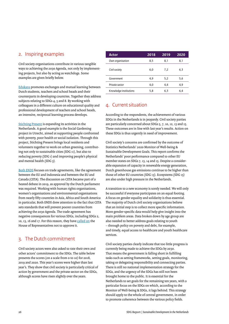### <span id="page-25-0"></span>2. Inspiring examples

Civil society organisations contribute in various tangible ways to achieving the 2030 Agenda, not only by implementing projects, but also by acting as watchdogs. Some examples are given briefly below.

[Edukans](https://www.edukans.nl/world-teacher-schoolleider/) promotes exchanges and mutual learning between Dutch students, teachers and school heads and their counterparts in developing countries. Together they address subjects relating to SDGs 4, 5 and 8. By working with colleagues in a different culture on educational quality and professional development of teachers and school heads, an intensive, reciprocal learning process develops.

[Stichting Present](https://stichtingpresent.nl/utrecht/ervaringen/bedankt-voor-de-bloemen/) is expanding its activities in the Netherlands. A good example is the Social Gardening project in Utrecht, aimed at supporting people confronted with poverty, poor health or social isolation. Through this project, Stichting Present brings local residents and volunteers together to work on urban greening, contributing not only to sustainable cities (SDG 11), but also to reducing poverty (SDG 1) and improving people's physical and mental health (SDG 3).

[Both ENDS](https://www.bothends.org/en) focuses on trade agreements, like the agreement between the EU and Indonesia and between the EU and Canada (CETA). The discussion on CETA became part of a heated debate in 2019, as approval by the Dutch parliament was required. Working with human rights organisations, women's organisations and environmental organisations from nearly fifty countries in Asia, Africa and South America in particular, Both ENDS drew attention to the fact that CETA sets standards that will prevent poorer countries from achieving the 2030 Agenda. The trade agreement has negative consequences for various SDGs, including SDGs 2, 10, 13, 16 and 17. For this reason, they have [called on](https://www.bothends.org/nl/Actueel/Voor-de-pers/PERSBERICHT-Open-brief-van-organisaties-uit-de-hele-wereld-Teken-CETA-niet/) the House of Representatives not to approve it.

### 3. The Dutch commitment

Civil society actors were also asked to rate their own and other actors' commitment to the SDGs. The table below presents the scores (on a scale from 0 to 10) for 2018, 2019 and 2020. This year's scores were higher than last year's. They show that civil society is particularly critical of action by government and the private sector on the SDGs, although scores have risen slightly over the years.

| <b>Actor</b>           | 2018 | 2019 | 2020 |
|------------------------|------|------|------|
| Own organisation       | 8,5  | 8,1  | 8,1  |
| Civil society          | 6.0  | 7,2  | 6,3  |
| Government             | 4.9  | 5,2  | 5,6  |
| Private sector         | 4.0  | 4.4  | 4,9  |
| Knowledge institutions | 5,8  | 6,3  | 6,4  |

### 4. Current situation

According to the respondents, the achievement of various SDGs in the Netherlands is in jeopardy. Civil society parties are particularly concerned about SDGs 5, 7, 10, 12, 13 and 15. These outcomes are in line with last year's results. Action on these SDGs is thus urgently in need of improvement.

Civil society's concerns are confirmed by the outcome of Statistics Netherlands' 2020 Monitor of Well-being & Sustainable Development Goals. This report confirms the Netherlands' poor performance compared to other EU member states on SDGs 7, 13, 14 and 15. Despite a considerable expansion of capacity in renewable energy generation, Dutch greenhouse gas emissions continue to be higher than those of other EU countries (SDG 13). Ecosystems (SDG 15) are also under high pressure in the Netherlands.

A transition to a new economy is sorely needed. We will only be successful if everyone participates on an equal footing. A focus on gender equality and solidarity is thus essential. The majority of Dutch civil society organisations believe that an initial step is to collect more specific information. More gender-specific data would help give insight into the main problem areas. Data broken down by age group are also needed to better address goals relating to youth – through policy on poverty and debt, for example, and timely, equal access to healthcare and youth healthcare services.

Civil society parties clearly indicate that too little progress is currently being made to achieve the SDGs by 2030. That means the government is falling short in fulfilling tasks such as setting frameworks, setting goals, monitoring, taking or delegating responsibility and connecting parties. There is still no national implementation strategy for the SDGs, and the urgency of the SDGs has still not been brought home to the public. It is essential for the Netherlands to set goals for the remaining ten years, with a particular focus on the SDGs on which, according to the Monitor of Well-being & SDGs, it lags behind. This strategy should apply to the whole of central government, in order to promote coherence between the various policy fields.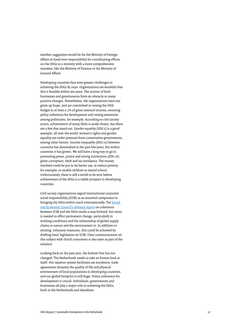Another suggestion would be for the Ministry of Foreign Affairs to hand over responsibility for coordinating efforts on the SDGs to a ministry with a more comprehensive mandate, like the Ministry of Finance or the Ministry of General Affairs.

Developing countries face even greater challenges in achieving the SDGs by 2030. Organisations are doubtful that this is feasible within ten years. The actions of both businesses and governments form an obstacle to many positive changes. Nonetheless, the organisations have not given up hope, and are committed to raising the ODA budget to at least 0.7% of gross national income, ensuring policy coherence for development and raising awareness among politicians, for example. According to civil society actors, achievement of many SDGs is under threat, but there are a few that stand out. Gender equality (SDG 5) is a good example: all over the world, women's rights and gender equality are under pressure from conservative governments, among other factors. Income inequality (SDG 10) between countries has diminished in the past few years, but within countries it has grown. We still have a long way to go in promoting peace, justice and strong institutions (SDG 16), given corruption, theft and tax avoidance. The money involved could be put to far better use, to reduce poverty, for example, or enable children to attend school. Unfortunately, there is still a world to be won before achievement of the SDGs is a viable prospect in developing countries.

Civil society organisations regard international corporate social responsibility (ICSR) as an essential component in bringing the SDGs within reach internationally. The [Social](https://www.ser.nl/nl/adviezen/sdg-imvo)  [and Economic Council's advisory report](https://www.ser.nl/nl/adviezen/sdg-imvo) on coherence between ICSR and the SDGs marks a step forward, but more is needed to effect permanent change, particularly in working conditions and the relationship of global supply chains to nature and the environment in. In addition to existing, voluntary measures, this could be achieved by drafting basic legislation on ICSR. Clear communication on this subject with Dutch consumers is also seen as part of the solution.

Looking back on the past year, the bottom line has not changed. The Netherlands needs to take an honest look at itself. Our taxation system facilitates tax avoidance, trade agreements threaten the quality of life and physical environment of local populations in developing countries, and our global footprint is still huge. Policy coherence for development is crucial. Individuals, governments and businesses all play a major role in achieving the SDGs, both in the Netherlands and elsewhere.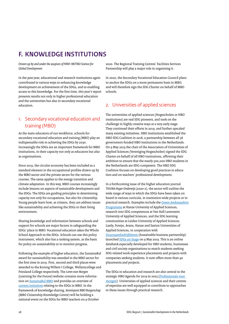# <span id="page-27-0"></span>**F. KNOWLEDGE INSTITUTIONS**

*Drawn up by and under the auspices of NWO-WOTRO Science for Global Development* 

In the past year, educational and research institutions again contributed in various ways to enhancing knowledge development on achievement of the SDGs, and to enabling access to this knowledge. For the first time, this year's report presents results not only in higher professional education and the universities but also in secondary vocational education.

### 1. Secondary vocational education and training (MBO)

As the main educators of our workforce, schools for secondary vocational education and training (MBO) play an indispensable role in achieving the SDGs by 2030. Increasingly the SDGs are an important framework for MBO institutions, in their capacity not only as educators but also as organisations.

Since 2019, the circular economy has been included as a standard element in the occupational profiles drawn up by the MBO sector and the private sector for the various courses. The same applies to the energy transition and climate adaptation. In this way, MBO courses increasingly include lessons on aspects of sustainable development and the SDGs. The SDGs are guiding principles in determining capacity not only for occupations, but also for citizenship. Young people learn how, as citizens, they can address issues like sustainability and achieving the SDGs in their living environment.

Sharing knowledge and information between schools and support for schools are major factors in safeguarding the SDGs' place in MBO. Vocational education takes the Whole School Approach to the SDGs. Schools can use this policy instrument, which also has a ranking system, as the basis for policy on sustainability or to monitor progress.

Following the example of higher education, the SustainaBul award for sustainability was awarded in the MBO sector for the first time in 2019. First, second and third places were awarded to the Koning Willem I College, Wellantcollege and Friesland College respectively. The *Leren voor Morgen* (Learning for the Future) website contains more information on [SustainaBul MBO](https://www.lerenvoormorgen.org/symposia?view=article&id=845:the-art-of-green-thinking&catid=20) and provides an overview of [current initiatives](https://www.lerenvoormorgen.org/leren-voor-morgen/mbo) relating to the SDGs in MBO. In the framework of knowledge sharing, *Kennispunt MBO Burgerschap* (MBO Citizenship Knowledge Centre) will be holding a national event on the SDGs for MBO teachers on 9 October

2020. The Regional Training Centres' Facilities Services Partnership will play a major role in organising it.

In 2020, the Secondary Vocational Education Council plans to anchor the SDGs on a more permanent basis in MBO, and will therefore sign the SDG Charter on behalf of MBO schools.

### 2. Universities of applied sciences

The universities of applied sciences (Hogescholen or HBO institutions) are real SDG pioneers, and took on the challenge in highly creative ways at a very early stage. They continued their efforts in 2019, and further upscaled many existing initiatives. HBO institutions established the HBO SDG Coalition in 2018, a partnership between all 36 government-funded HBO institutions in the Netherlands. On 9 May 2019 the chair of the Association of Universities of Applied Sciences (Vereniging Hogescholen) signed the SDG Charter on behalf of all HBO institutions, affirming their ambition to ensure that the nearly 500,000 HBO students in the Netherlands are SDG-competent. The HBO SDG Coalition focuses on developing good practices in education and on teachers' professional development.

In a forthcoming issue of the higher education journal *TH&MA Hoger Onderwijs* (2020-2), the sector will outline the wide range of ways in which the SDGs have been taken on board in various curricula, in institution-wide projects or in practical research. Examples include the [Green Ambassadors](https://www.hanze.nl/nld/organisatie/themas/duurzaamheid/hanze-duurzaam/onderwijs/green-ambassador-day) [Programme](https://www.hanze.nl/nld/organisatie/themas/duurzaamheid/hanze-duurzaam/onderwijs/green-ambassador-day) at Hanze University of Applied Sciences, research into SDG competences at Van Hall Larenstein University of Applied Sciences, and the SDG learning communities at Leiden University of Applied Sciences. Lastly, Fontys, Avans, Hanze and Saxion Universities of Applied Sciences, in cooperation with [Duurzaambedrijfsleven](https://www.duurzaambedrijfsleven.nl) (Sustainable business partnership) launched [SDGs on Stage](https://www.sdgsonstage.nl) on 9 May 2019. This is an online databank especially developed for HBO students, businesses and civil society organisations to match students seeking SDG-related work experience placements and projects with companies seeking students. It now offers more than 40 placements and projects.

The SDGs in education and research are also central to the strategic HBO Agenda for 2019 to 2023 ([Professionals voor](https://www.vereniginghogescholen.nl/system/knowledge_base/attachments/files/000/001/067/original/Professionals_voor_morgen_-_strategische_agenda_Vereniging_Hogescholen_2019-2023.pdf?1567175114)  [morgen](https://www.vereniginghogescholen.nl/system/knowledge_base/attachments/files/000/001/067/original/Professionals_voor_morgen_-_strategische_agenda_Vereniging_Hogescholen_2019-2023.pdf?1567175114)). Universities of applied sciences and their centres of expertise are well equipped to contribute to approaches to these issues through practical research.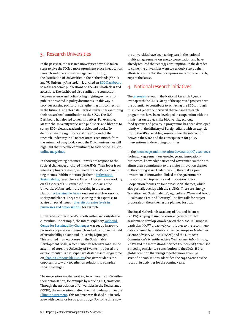### <span id="page-28-0"></span>3. Research Universities

In the past year, the research universities have also taken steps to give the SDGs a more prominent place in education, research and operational management. In 2019, the Association of Universities in the Netherlands (VSNU) and VU University Amsterdam launched an [SDG Dashboard](https://vsnu.nl/en_GB/sdg-dashboard-english.html) to make academic publications on the SDGs both clear and accessible. The dashboard also clarifies the connection between science and policy by highlighting extracts from publications cited in policy documents. In this way it provides starting points for strengthening this connection in the future. Using this data, several universities examining their researchers' contribution to the SDGs. The SDG Dashboard has also led to new initiatives. For example, Maastricht University works with publishers and libraries to survey SDG-relevant academic articles and books. To demonstrate the significance of the SDGs and of the research under way in all related areas, each month from the autumn of 2019 to May 2020 the Dutch universities will highlight their specific commitment to each of the SDGs in [online magazines](https://vsnu.nl/en_GB/Sustainable-development-goals.html).

In choosing strategic themes, universities respond to the societal challenges anchored in the SDGs. Their focus is on interdisciplinary research, in line with the SDGs' crosscutting themes. Within the strategic theme Pathways to [Sustainability](https://www.uu.nl/en/research/sustainability), researchers at Utrecht University are working on all aspects of a sustainable future. Scholars at the University of Amsterdam are working in the research platform [A Sustainable Future](https://asf.uva.nl/goals/goals.html) on a sustainable economy, society and planet. They are also using their expertise to advise on social issues - diversity at senior levels in [businesses and organisations,](https://www.uu.nl/nieuws/universiteit-utrecht-en-nederlandse-vrouwen-raad-adviseren-ser-over-diversiteit-in-de-top) for example.

Universities address the SDGs both within and outside the curriculum. For example, the interdisciplinary Radboud [Centre for Sustainability Challenges](https://www.ru.nl/duurzaamheid/onderzoek/radboud-centre-for-sustainability-challenges/) was set up in 2019 to promote cooperation in research and education in the field of sustainability at Radboud University Nijmegen. This resulted in a new course on the Sustainable Development Goals, which started in February 2020. In the autumn of 2019, the University of Twente introduced the extra-curricular Transdisciplinary Master-Insert Programme on [Shaping Responsible Futures](https://www.utwente.nl/en/education/master/programmes/transdisciplinary-master-insert/) that gives students the opportunity to work together on solutions to complex social challenges.

The universities are also working to achieve the SDGs within their organisation, for example by reducing CO<sub>2</sub> emissions. Through the Association of Universities in the Netherlands (VSNU), the universities drafted the first roadmap under the [Climate Agreement](https://www.vsnu.nl/klimaatakkoord.html). This roadmap was fleshed out in early 2020 with scenarios for 2030 and 2050. For some time now,

the universities have been taking part in the national multiyear agreements on energy conservation and have already reduced their energy consumption. In the decades to come, the universities want to seriously step up their efforts to ensure that their campuses are carbon-neutral by 2050 at the latest.

### 4. National research initiatives

The [25 routes](https://wetenschapsagenda.nl/overzicht-routes/) set out in the National Research Agenda overlap with the SDGs. Many of the approved projects have the potential to contribute to achieving the SDGs, though this is not yet explicit. Several theme-based research programmes have been developed in cooperation with the ministries on subjects like biodiversity, ecology, food systems and poverty. A programme has been developed jointly with the Ministry of Foreign Affairs with an explicit link to the SDGs, enabling research into the interaction between the SDGs and the consequences for policy interventions in developing countries.

In the [Knowledge and Innovation Covenant \(KIC\) 2020-2023](https://www.topsectoren.nl/binaries/topsectoren/documenten/kamerstukken/2019/november/12-11-19/kic-2020-2023/Kennis--en-Innovatieconvenant-2020-2023.pdf) (Voluntary agreement on knowledge and innovation), businesses, knowledge parties and government authorities affirm their commitment to the major innovation themes of the coming years. Under the KIC, they make a joint investment in innovation, linked to the government's mission-driven top sectors and innovation policy. Cooperation focuses on four broad social themes, which also partially overlap with the 17 SDGs. These are 'Energy Transition and Sustainability', 'Agriculture, Water and Food', 'Health and Care' and 'Security'. The first calls for project proposals on these themes are planned for 2020.

The Royal Netherlands Academy of Arts and Sciences (KNAW) is trying to use the knowledge within Dutch academia to develop knowledge on the SDGs. In Europe in particular, KNAW proactively contributes to the recommendations issued by institutions like the European Academies Science Advisory Council (EASAC) and the European Commission's Scientific Advice Mechanism (SAM). In 2019, KNAW and the International Science Council (ISC) organised a meeting on science's contribution to the SDGs. ISC, a global coalition that brings together more than 140 scientific organisations, identified the 2030 Agenda as the focus of its activities for the coming years.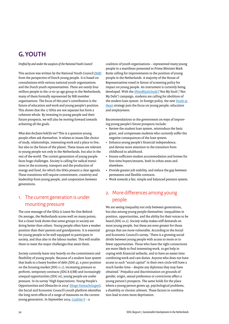# <span id="page-29-0"></span>**G.YOUTH**

*Drafted by and under the auspices of the National Youth Council* 

This section was written by the National Youth Council ([NJR\)](https://www.njr.nl/nl/) from the perspective of Dutch young people. It is based on consultations with various national youth organisations and the Dutch youth representatives. There are nearly four million people in the 12-to-30 age group in the Netherlands, many of them formally represented by NJR member organisations. The focus of this year's contribution is the future of education and work and young people's position. This shows that the 17 SDGs are not separate but form a coherent whole. By investing in young people and their future prospects, we will also be moving forward towards achieving all the goals.

*What does the future hold for me?* This is a question young people often ask themselves. It relates to issues like choice of study, relationships, interesting work and a place to live, but also to the future of the planet. These issues are relevant to young people not only in the Netherlands, but also in the rest of the world. The current generation of young people faces huge challenges. Society is calling for radical transitions in the economy, transport and the production of energy and food, for which the SDGs present a clear agenda. These transitions will require commitment, creativity and leadership from young people, and cooperation between generations.

### 1. The current generation is under mounting pressure

The core message of the SDGs is Leave No One Behind. On average, the Netherlands scores well on many points, but a closer look shows that some groups in society are doing better than others. Young people often have a weaker position than their parents and grandparents. It is essential for young people to be well-equipped to participate in society, and thus also in the labour market. This will enable them to meet the major challenges that await them.

Society currently leans very heavily on the commitment and flexibility of young people. Because of a student loan system that leads to a heavy burden of debt (SDG 4), a poor position on the housing market (SDG 11.1), increasing pressure to perform, temporary contracts (SDG 8.6/8B) and increasingly unequal opportunities (SDG 10), young people are under pressure. In its survey 'High Expectations: Young People's Opportunities and Obstacles in 2019' [\(Hoge Verwachtingen](https://www.ser.nl/nl/adviezen/kansen-belemmeringen-jongeren)), the Social and Economic Council's youth platform identifies the long-term effects of a range of measures on the current young generation. In September 2019, [Coalitie-Y](https://coalitie-y.nl) – a

coalition of youth organisations – represented many young people in a manifesto presented to Prime Minister Mark Rutte calling for improvements to the position of young people in the Netherlands. A majority of the House of Representatives voted in favour of screening policy for impact on young people. An instrument is currently being developed. With the [#NietMijnSchuld](https://www.nietmijnschuld.nl/petitie#/) ('Not My Fault'/'Not My Debt') campaign, students are calling for abolition of the student loan system. In foreign policy, the new Youth at [Heart](https://www.government.nl/documents/publications/2020/05/14/youth-at-heart---young-people-at-the-heart-of-dutch-development-cooperation) strategy puts the focus on young people, education and employment.

Recommendations to the government on ways of improving young people's future prospects include:

- Review the student loan system, reintroduce the basic grant, and compensate students who currently suffer the negative consequences of the loan system.
- Enhance young people's financial independence, and devote more attention to the transition from childhood to adulthood.
- Ensure sufficient student accommodation and homes for first-time buyers/tenants, both in urban areas and elsewhere.
- Provide greater job stability, and reduce the gap between permanent and flexible contracts.
- Work towards a fair, simple and balanced pension system.

### 2. More differences among young people

We are seeing inequality not only between generations, but also among young people themselves: inequalities in position, opportunities, and the ability for their voices to be heard (SDG 10.2). Society today makes stiff demands on most young people, but these are even greater for those groups that are more vulnerable. According to the Social and Economic Council's survey, 'There is a growing social divide between young people with access to more or to fewer opportunities. Those who have the right connections are more likely to find interesting work, to get help in coping with financial setbacks, and to have an easier time combining work and care duties. Anyone who does not have access to such "social capital" in their own circle will have a much harder time – despite any diplomas they may have obtained.' Prejudice and discrimination on grounds of gender, origin, sexual preference or convictions affect a young person's prospects. The same holds for the place where a young person grows up, psychological problems, a disability or chronic ailment. These factors in combination lead to even more deprivation.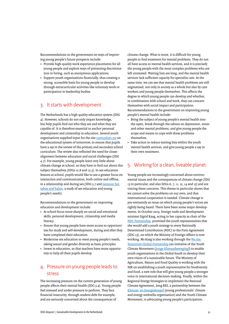<span id="page-30-0"></span>Recommendations to the government on ways of improving young people's future prospects include:

- Provide high-quality work experience placements for all young people and explore ways of preventing discrimination in hiring, such as anonymous applications.
- Support youth organisations financially, thus creating a strong, accessible basis for young people to develop through extracurricular activities like voluntary work or participation in leadership bodies.

### 3. It starts with development

The Netherlands has a high quality education system (SDG 4). However, schools do not only impart knowledge, but help pupils find out who they are and what they are capable of. It is therefore essential to anchor personal development and citizenship in education. Several youth organisations supplied input for the site [curriculum.nu](https://www.curriculum.nu) on the educational system of tomorrow, to ensure that pupils have a say in the review of the primary and secondary school curriculum. The review also reflected the need for closer alignment between education and social challenges (SDG 4.7). For example, young people learn very little about climate change at school, so they have to find out about this subject themselves (SDGs 12.8 and 13.3). In sex education lessons at school, pupils would like to see a greater focus on interaction and communication, both online and offline, in a relationship and during sex (SDG 3.7 and [Gewoon het](https://www.seksuelevorming.nl/sites/seksuelevorming/files/PDF/Gewoon-het-taboe-eraf-haleninclomslagsept2019.pdf)  [taboe eraf halen](https://www.seksuelevorming.nl/sites/seksuelevorming/files/PDF/Gewoon-het-taboe-eraf-haleninclomslagsept2019.pdf), a study of sex education and young people's needs).

Recommendations to the government on improving education and development include:

- At school focus more sharply on social and emotional skills, personal development, citizenship and media literacy.
- Ensure that young people have more access to opportunities for study and self-development, during and after they have completed their education.
- Modernise sex education to meet young people's needs, taking sexual and gender diversity as basic principles.
- Invest in education, so that teachers have more opportunity to help all their pupils develop.

### 4. Pressure on young people leads to stress

The increasing pressure on the current generation of young people affects their mental health (SDG 3.4). Young people feel stressed and under pressure to perform. They face financial insecurity, through student debt for example, and are seriously concerned about the consequences of

climate change. What is more, it is difficult for young people to find treatment for mental problems. They do not all have access to mental health services, and it is precisely the young people with the most complex problems who are left untreated. Waiting lists are long, and the mental health services lack sufficient capacity for specialist care. At the same time, we can see that mental health problems are still stigmatised, not only in society as a whole but also by care workers and young people themselves. This affects the degree to which young people can develop and whether, in combination with school and work, they can concern themselves with social impact and participation. Recommendations to the government on improving young people's mental health include:

- Bring the subject of young people's mental health into the open, break through the taboos on depression, stress and other mental problems, and give young people the scope and means to cope with these problems themselves.
- Take action to reduce waiting lists within the youth mental health services, and give young people a say in their own treatment.

### 5. Working for a clean, liveable planet

Young people are increasingly concerned about environmental issues and the consequences of climate change (SDG 13 in particular, and also SDGs 6, 7, 11, 12, 14 and 15) and are voicing these concerns. This theme in particular shows that we cannot solve the problems on our own, and that international cooperation is needed. Climate change is pre-eminently an issue on which young people's voices are rightly being heard. There have been some major developments. In October 2019, foreign trade and development minister Sigrid Kaag, acting in her capacity as chair of the [NDC Partnership,](https://ndcpartnership.org) promised the youth representatives that she would add a youth strategy to every Nationally Determined Contribution (NDC) to the Paris Agreement (SDG 13), on which the Ministry of Foreign Affairs is now working. Ms Kaag is also working through the [We Are](https://www.jongeklimaatbeweging.nl/project/we-are-tomorrow-global-partnership/)  [Tomorrow Global Partnership](https://www.jongeklimaatbeweging.nl/project/we-are-tomorrow-global-partnership/) (an initiative of the Youth Climate Movement ([Jonge Klimaatbeweging\)](https://www.jongeklimaatbeweging.nl)) to enable youth organisations in the Global South to develop their own vision of a sustainable future. The Ministry of Agriculture, Nature and Food Quality is working with the NJR on establishing a youth representative for biodiversity and food, a new role that will give young people a stronger voice in international decision-making. Finally, within the Regional Energy Strategies to implement the National Climate Agreement, Jong RES, a partnership between the [Klimaat- en Energiekoepel](https://www.klimaatenergiekoepel.nl) (young professionals' climate and energy umbrella organisation) and the Youth Climate Movement, is advocating young people's participation.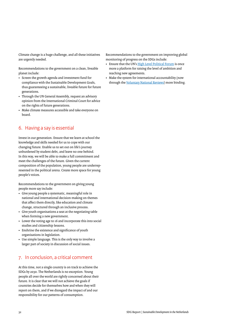<span id="page-31-0"></span>Climate change is a huge challenge, and all these initiatives are urgently needed.

Recommendations to the government on a clean, liveable planet include:

- Screen the growth agenda and investment fund for compliance with the Sustainable Development Goals, thus guaranteeing a sustainable, liveable future for future generations.
- Through the UN General Assembly, request an advisory opinion from the International Criminal Court for advice on the rights of future generations.
- Make climate measures accessible and take everyone on board.

### 6. Having a say is essential

Invest in our generation. Ensure that we learn at school the knowledge and skills needed for us to cope with our changing future. Enable us to set out on life's journey unburdened by student debt, and leave no one behind. In this way, we will be able to make a full commitment and meet the challenges of the future. Given the current composition of the population, young people are underrepresented in the political arena. Create more space for young people's voices.

Recommendations to the government on giving young people more say include:

- Give young people a systematic, meaningful role in national and international decision-making on themes that affect them directly, like education and climate change, structured through an inclusive process.
- Give youth organisations a seat at the negotiating table when forming a new government.
- Lower the voting age to 16 and incorporate this into social studies and citizenship lessons.
- Enshrine the existence and significance of youth organisations in legislation.
- Use simple language. This is the only way to involve a larger part of society in discussion of social issues.

### 7. In conclusion, a critical comment

At this time, not a single country is on track to achieve the SDGs by 2030. The Netherlands is no exception. Young people all over the world are rightly concerned about their future. It is clear that we will not achieve the goals if countries decide for themselves how and when they will report on them, and if we disregard the impact of and our responsibility for our patterns of consumption.

Recommendations to the government on improving global monitoring of progress on the SDGs include:

- Ensure that the UN's **[High Level Political Forum](https://sustainabledevelopment.un.org/hlpf)** is once more a platform for raising the level of ambition and reaching new agreements.
- Make the system for international accountability (now through the [Voluntary National Reviews](https://sustainabledevelopment.un.org/vnrs/)) more binding.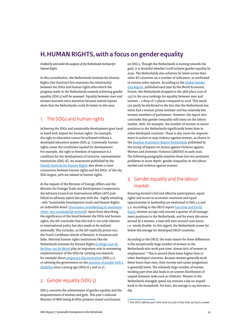# <span id="page-32-0"></span>**H.HUMAN RIGHTS, with a focus on gender equality**

*Drafted by and under the auspices of the Netherlands Institute for Human Rights*

In this contribution, the Netherlands Institute for Human Rights (the Institute) first examines the relationship between the SDGs and human rights after which the progress made in the Netherlands towards achieving gender equality (SDG 5) will be assessed. Equality between men and women warrants extra attention because several reports show that the Netherlands could do better in this area.

### 1. The SDGs and human rights

Achieving the SDGs and sustainable development goes hand in hand with respect for human rights. For example, the right to education cannot be achieved without a developed education system (SDG 4). Conversely, human rights create the conditions needed for development. For example, the right to freedom of expression is a condition for the development of inclusive, representative institutions (SDG 16). An assessment published by the [Danish Institute for Human Rights](https://sdg.humanrights.dk) also shows a close connection between human rights and the SDGs: of the 169 SDG targets, 90% are related to human rights.

At the request of the Minister of Foreign Affairs and the Minister for Foreign Trade and Development Cooperation, the Advisory Council on International Affairs (AIV) published an advisory report last year with the - highly revealing - title 'Sustainable Development Goals and Human Rights: an Indivisible Bond' [\(Duurzame ontwikkeling en mensenre](https://www.adviesraadinternationalevraagstukken.nl/documenten/publicaties/2019/05/10/duurzame-ontwikkelingsdoelen-en-mensenrechten)[chten: een noodzakelijk verbond](https://www.adviesraadinternationalevraagstukken.nl/documenten/publicaties/2019/05/10/duurzame-ontwikkelingsdoelen-en-mensenrechten)). Apart from describing the significance of the bond between the SDGs and human rights, the AIV concludes that this link is not only relevant to international policy but also needs to be realized nationally. This includes, as the AIV explicitly points out, the Dutch Caribbean islands of Bonaire, St Eustatius and Saba. National human rights institutions like the Netherlands Institute for Human Rights ([College voor de](https://mensenrechten.nl/nl)  [Rechten van de Mens](https://mensenrechten.nl/nl)) play an important role in overseeing implementation of the SDGs by carrying out research, for example about [pregnancy discrimination](https://mensenrechten.nl/nl/publicatie/5b46fd0b748c2212a54518d6) (SDG 5.1), or advising the government on the [position of people with a](https://mensenrechten.nl/nl/publicatie/5e5ce5bd7b7e3473ef02f608) [disability](https://mensenrechten.nl/nl/publicatie/5e5ce5bd7b7e3473ef02f608) since a young age (SDGs 8.5 and 10.2).

### 2. Gender equality (SDG 5)

SDG 5 concerns the achievement of gender equality and the empowerment of women and girls. This year's national Monitor of Well-being & SDGs presents mixed conclusions

on SDG 5. Though the Netherlands is moving towards the goal, it is doubtful whether it will achieve gender equality by 2030. The Netherlands also achieves far lower scores than other EU countries on a number of indicators, as confirmed in various other reports. According to the [Global Gender](https://www.weforum.org/reports/gender-gap-2020-report-100-years-pay-equality)  [Gap Report](https://www.weforum.org/reports/gender-gap-2020-report-100-years-pay-equality), published each year by the World Economic Forum, the Netherlands dropped to the 38th place (out of 153) in the 2019 rankings for equality between men and women – a drop of 11 places compared to 2018. This result can partly be attributed to the fact that the Netherlands has never had a woman prime minister and has relatively few women members of parliament. However, the report also concludes that gender inequality still exists on the labour market, with, for example, the number of women in senior positions in the Netherlands significantly lower than in other developed countries. There is also room for improvement in action to stop violence against women, as shown in the [Baseline Evaluation Report Netherlands](https://rm.coe.int/grevio-report-on-netherlands/1680997253) published by the Group of Experts on Action against Violence against Women and Domestic Violence (GREVIO) in early 2020. The following paragraphs examine these last two persistent problems in more depth: gender inequality on the labour market and violence against women.

### 3. Gender equality and the labour market

Ensuring women's full and effective participation, equal rights and access to economic resources and equal opportunities to leadership are enshrined in SDG 5.5 and 5.a. According to the OECD report Part-time and Partly [Equal,](https://www.oecd.org/social/part-time-and-partly-equal-gender-and-work-in-the-netherlands-204235cf-en.htm) women occupy only around a quarter of all management positions in the Netherlands, and for every 580 euros earned by a woman, a man will earn around 1000 euros, i.e. nearly double. In this regard, the Netherlands scores far below the average for developed OECD countries.

According to the OECD, the main reason for these differences is the exceptionally large number of women in the Netherlands who work part-time: almost 60% of women in employment.<sup>18</sup> This is around three times higher than in other developed countries. Because women generally work fewer hours than men, their income and career progression is generally lower. The relatively large number of women working part-time also leads to an uneven distribution of unpaid domestic tasks such as childcare. Women in the Netherlands averagely spend 225 minutes a day on unpaid work in the household. For men, the average is 145 minutes a day.

<sup>18</sup> The OECD defines part-time work as a job of less than 30 hours a week.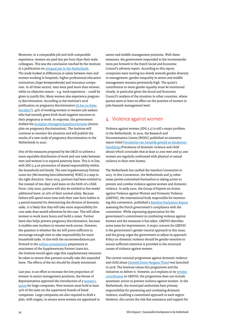<span id="page-33-0"></span>Moreover, in a comparable job and with comparable experience, women are paid less per hour than their male colleagues. This was the conclusion reached by the Institute in a publication on *unequal pay in the Netherlands*. The study looked at differences in salary between men and women working in hospitals, higher professional education institutions (*hoger beroepsonderwijs*) and insurance companies. In all three sectors, men were paid more than women, while no objective reason – e.g. work experience – could be given to justify this. Many women also experience pregnancy discrimination. According to the Institute's 2016 publication on pregnancy discrimination ([Is het nu beter](https://mensenrechten.nl/nl/publicatie/5b46fcec748c2212a545182f)  [bevallen?](https://mensenrechten.nl/nl/publicatie/5b46fcec748c2212a545182f)), 43% of working women or women job seekers who had recently given birth faced negative reactions to their pregnancy at work. In response, the government drafted the [Actieplan Zwangerschapsdiscriminatie](https://www.rijksoverheid.nl/documenten/kamerstukken/2017/03/22/kamerbrief-actieplan-zwangerschapsdiscriminatie) (Action plan on pregnancy discrimination). The Institute will continue to monitor the situation and will publish the results of a new study of pregnancy discrimination in the Netherlands in 2020.

One of the measures proposed by the OECD to achieve a more equitable distribution of work and care tasks between men and women is to expand paternity leave. This is in line with SDG 5.4 on promotion of shared responsibility within the household and family. The new Supplementary Partner Leave Act (*Wet Invoering Extra Geboorteverlof,* WIEG) is a step in the right direction. Since 2019, partners had been entitled to five instead of two days' paid leave on the birth of a child. From 1 July 2020, partners will also be entitled to five weeks' additional leave, at 70% of their normal salary. Because fathers will spend more time with their new-born babies in a period essential for determining the division of domestic tasks, it is likely that they will take more responsibility for care tasks than would otherwise be the case. This will allow women to work more hours and build a career. Partner leave also helps prevent pregnancy discrimination, because it enables new mothers to resume work sooner. However, the question is whether the Act will prove sufficient to encourage enough men to take responsibility for more household tasks. In line with the recommendations put forward in the [online consultations](https://mensenrechten.nl/nl/publicatie/38397) preparatory to enactment of the Supplementary Partner Leave Act, the Institute would again urge that supplementary measures be taken to ensure that partners actually take this expanded leave. The effects of the Act should be closely monitored.

Last year, in an effort to increase the low proportion of women in senior management positions, the House of Representatives approved the introduction of a [women's](https://www.rijksoverheid.nl/documenten/kamerstukken/2020/02/07/kabinetsreactie-op-het-ser-advies-diversiteit-in-de-top-tijd-voor-versnelling)  [quota](https://www.rijksoverheid.nl/documenten/kamerstukken/2020/02/07/kabinetsreactie-op-het-ser-advies-diversiteit-in-de-top-tijd-voor-versnelling) for large companies. Now women must hold at least 30% of the seats on the supervisory boards of listed companies. Large companies are also required to draft a plan, with targets, to ensure more women are appointed to senior and middle management positions. With these measures, the government responded to the recommendations put forward in the Dutch Social and Economic Council's advisory report. According to this report, companies were moving too slowly towards gender diversity in management; gender inequality in senior and middle management remains persistently high. The quota's contribution to more gender equality must be monitored closely, in particular given the Social and Economic Council's analysis of the situation in other countries, where quotas seem to have no effect on the position of women in jobs beneath management level.

### 4. Violence against women

Violence against women (SDG 5.2) is still a major problem in the Netherlands. In 2019, the Research and Documentation Centre (WODC) published an extensive report titled [Prevalentie van huiselijk geweld en kindermis](https://www.rijksoverheid.nl/documenten/rapporten/2019/02/05/de-prevalentie-van-huiselijk-geweld-en-kindermishandeling-in-nederland)[handeling](https://www.rijksoverheid.nl/documenten/rapporten/2019/02/05/de-prevalentie-van-huiselijk-geweld-en-kindermishandeling-in-nederland) (Prevalence of domestic violence and child abuse) which concludes that at least 27,000 men and 97,000 women are regularly confronted with physical or sexual violence in their own homes.

The Netherlands has ratified the Istanbul Convention in 2015. In this Convention, the Netherlands and 33 other states parties committed themselves to taking action to prevent and combat violence against women and domestic violence. In early 2020, the Group of Experts on Action against Violence against Women and Domestic Violence (GREVIO), the international body responsible for monitoring this convention, published a [Baseline Evaluation Report](https://www.coe.int/en/web/istanbul-convention/-/grevio-publishes-its-report-on-netherlands) assessing the Dutch government's compliance with the convention. While expressing appreciation for the government's commitment to combating violence against women and the measures it has taken, GREVIO identifies some areas for improvement. A major concern for GREVIO is the government's gender-neutral approach to this issue, and the group urges the government to adjust its approach. Policy on domestic violence should be gender-sensitive to ensure sufficient attention is provided to the structural causes of violence against women.

The current national programme against domestic violence and child abuse [\(Geweld Hoort Nergens Thuis](https://www.rijksoverheid.nl/documenten/beleidsnota-s/2018/04/25/geweld-hoort-nergens-thuis-aanpak-huiselijk-geweld-en-kindermishandeling)) was launched in 2018. The Institute values this programme and the initiatives to deliver it. However, as it explains in its written [contribution](https://mensenrechten.nl/nl/publicatie/5be16ef7a44adf1238c2145e) to GREVIO, the programme does not include systematic action to prevent violence against women. In the Netherlands, the municipal authorities bear primary responsibility for preventing and combating domestic violence, enabling a customised approach in each region. However, this carries the risk that assistance and support for